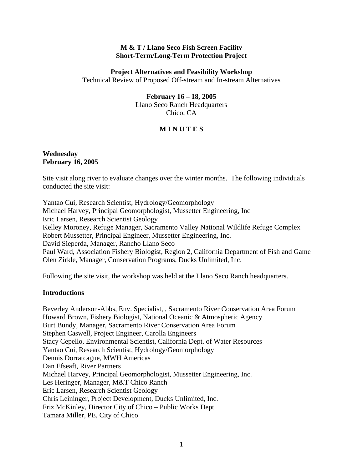## **M & T / Llano Seco Fish Screen Facility Short-Term/Long-Term Protection Project**

### **Project Alternatives and Feasibility Workshop**

Technical Review of Proposed Off-stream and In-stream Alternatives

# **February 16 – 18, 2005**

Llano Seco Ranch Headquarters Chico, CA

# **M I N U T E S**

# **Wednesday February 16, 2005**

Site visit along river to evaluate changes over the winter months. The following individuals conducted the site visit:

Yantao Cui, Research Scientist, Hydrology/Geomorphology Michael Harvey, Principal Geomorphologist, Mussetter Engineering, Inc Eric Larsen, Research Scientist Geology Kelley Moroney, Refuge Manager, Sacramento Valley National Wildlife Refuge Complex Robert Mussetter, Principal Engineer, Mussetter Engineering, Inc. David Sieperda, Manager, Rancho Llano Seco Paul Ward, Association Fishery Biologist, Region 2, California Department of Fish and Game Olen Zirkle, Manager, Conservation Programs, Ducks Unlimited, Inc.

Following the site visit, the workshop was held at the Llano Seco Ranch headquarters.

## **Introductions**

Beverley Anderson-Abbs, Env. Specialist, , Sacramento River Conservation Area Forum Howard Brown, Fishery Biologist, National Oceanic & Atmospheric Agency Burt Bundy, Manager, Sacramento River Conservation Area Forum Stephen Caswell, Project Engineer, Carolla Engineers Stacy Cepello, Environmental Scientist, California Dept. of Water Resources Yantao Cui, Research Scientist, Hydrology/Geomorphology Dennis Dorratcague, MWH Americas Dan Efseaft, River Partners Michael Harvey, Principal Geomorphologist, Mussetter Engineering, Inc. Les Heringer, Manager, M&T Chico Ranch Eric Larsen, Research Scientist Geology Chris Leininger, Project Development, Ducks Unlimited, Inc. Friz McKinley, Director City of Chico – Public Works Dept. Tamara Miller, PE, City of Chico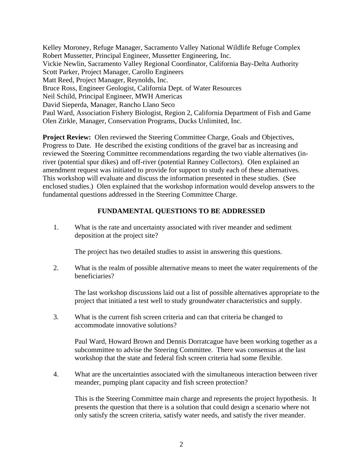Kelley Moroney, Refuge Manager, Sacramento Valley National Wildlife Refuge Complex Robert Mussetter, Principal Engineer, Mussetter Engineering, Inc. Vickie Newlin, Sacramento Valley Regional Coordinator, California Bay-Delta Authority Scott Parker, Project Manager, Carollo Engineers Matt Reed, Project Manager, Reynolds, Inc. Bruce Ross, Engineer Geologist, California Dept. of Water Resources Neil Schild, Principal Engineer, MWH Americas David Sieperda, Manager, Rancho Llano Seco Paul Ward, Association Fishery Biologist, Region 2, California Department of Fish and Game Olen Zirkle, Manager, Conservation Programs, Ducks Unlimited, Inc.

**Project Review:** Olen reviewed the Steering Committee Charge, Goals and Objectives, Progress to Date. He described the existing conditions of the gravel bar as increasing and reviewed the Steering Committee recommendations regarding the two viable alternatives (inriver (potential spur dikes) and off-river (potential Ranney Collectors). Olen explained an amendment request was initiated to provide for support to study each of these alternatives. This workshop will evaluate and discuss the information presented in these studies. (See enclosed studies.) Olen explained that the workshop information would develop answers to the fundamental questions addressed in the Steering Committee Charge.

## **FUNDAMENTAL QUESTIONS TO BE ADDRESSED**

1. What is the rate and uncertainty associated with river meander and sediment deposition at the project site?

The project has two detailed studies to assist in answering this questions.

2. What is the realm of possible alternative means to meet the water requirements of the beneficiaries?

The last workshop discussions laid out a list of possible alternatives appropriate to the project that initiated a test well to study groundwater characteristics and supply.

3. What is the current fish screen criteria and can that criteria be changed to accommodate innovative solutions?

Paul Ward, Howard Brown and Dennis Dorratcague have been working together as a subcommittee to advise the Steering Committee. There was consensus at the last workshop that the state and federal fish screen criteria had some flexible.

4. What are the uncertainties associated with the simultaneous interaction between river meander, pumping plant capacity and fish screen protection?

This is the Steering Committee main charge and represents the project hypothesis. It presents the question that there is a solution that could design a scenario where not only satisfy the screen criteria, satisfy water needs, and satisfy the river meander.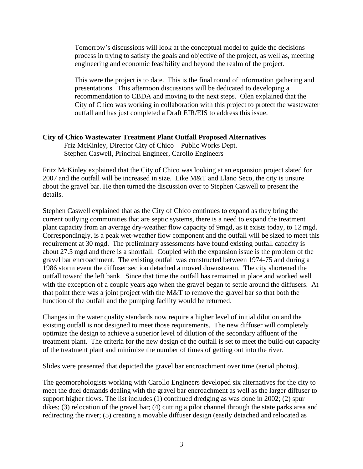Tomorrow's discussions will look at the conceptual model to guide the decisions process in trying to satisfy the goals and objective of the project, as well as, meeting engineering and economic feasibility and beyond the realm of the project.

This were the project is to date. This is the final round of information gathering and presentations. This afternoon discussions will be dedicated to developing a recommendation to CBDA and moving to the next steps. Olen explained that the City of Chico was working in collaboration with this project to protect the wastewater outfall and has just completed a Draft EIR/EIS to address this issue.

#### **City of Chico Wastewater Treatment Plant Outfall Proposed Alternatives**

Friz McKinley, Director City of Chico – Public Works Dept. Stephen Caswell, Principal Engineer, Carollo Engineers

Fritz McKinley explained that the City of Chico was looking at an expansion project slated for 2007 and the outfall will be increased in size. Like M&T and Llano Seco, the city is unsure about the gravel bar. He then turned the discussion over to Stephen Caswell to present the details.

Stephen Caswell explained that as the City of Chico continues to expand as they bring the current outlying communities that are septic systems, there is a need to expand the treatment plant capacity from an average dry-weather flow capacity of 9mgd, as it exists today, to 12 mgd. Correspondingly, is a peak wet-weather flow component and the outfall will be sized to meet this requirement at 30 mgd. The preliminary assessments have found existing outfall capacity is about 27.5 mgd and there is a shortfall. Coupled with the expansion issue is the problem of the gravel bar encroachment. The existing outfall was constructed between 1974-75 and during a 1986 storm event the diffuser section detached a moved downstream. The city shortened the outfall toward the left bank. Since that time the outfall has remained in place and worked well with the exception of a couple years ago when the gravel began to settle around the diffusers. At that point there was a joint project with the M&T to remove the gravel bar so that both the function of the outfall and the pumping facility would be returned.

Changes in the water quality standards now require a higher level of initial dilution and the existing outfall is not designed to meet those requirements. The new diffuser will completely optimize the design to achieve a superior level of dilution of the secondary affluent of the treatment plant. The criteria for the new design of the outfall is set to meet the build-out capacity of the treatment plant and minimize the number of times of getting out into the river.

Slides were presented that depicted the gravel bar encroachment over time (aerial photos).

The geomorphologists working with Carollo Engineers developed six alternatives for the city to meet the duel demands dealing with the gravel bar encroachment as well as the larger diffuser to support higher flows. The list includes (1) continued dredging as was done in 2002; (2) spur dikes; (3) relocation of the gravel bar; (4) cutting a pilot channel through the state parks area and redirecting the river; (5) creating a movable diffuser design (easily detached and relocated as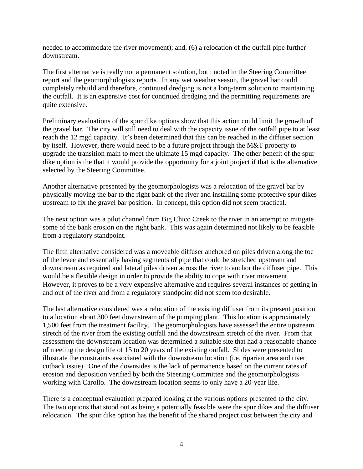needed to accommodate the river movement); and, (6) a relocation of the outfall pipe further downstream.

The first alternative is really not a permanent solution, both noted in the Steering Committee report and the geomorphologists reports. In any wet weather season, the gravel bar could completely rebuild and therefore, continued dredging is not a long-term solution to maintaining the outfall. It is an expensive cost for continued dredging and the permitting requirements are quite extensive.

Preliminary evaluations of the spur dike options show that this action could limit the growth of the gravel bar. The city will still need to deal with the capacity issue of the outfall pipe to at least reach the 12 mgd capacity. It's been determined that this can be reached in the diffuser section by itself. However, there would need to be a future project through the M&T property to upgrade the transition main to meet the ultimate 15 mgd capacity. The other benefit of the spur dike option is the that it would provide the opportunity for a joint project if that is the alternative selected by the Steering Committee.

Another alternative presented by the geomorphologists was a relocation of the gravel bar by physically moving the bar to the right bank of the river and installing some protective spur dikes upstream to fix the gravel bar position. In concept, this option did not seem practical.

The next option was a pilot channel from Big Chico Creek to the river in an attempt to mitigate some of the bank erosion on the right bank. This was again determined not likely to be feasible from a regulatory standpoint.

The fifth alternative considered was a moveable diffuser anchored on piles driven along the toe of the levee and essentially having segments of pipe that could be stretched upstream and downstream as required and lateral piles driven across the river to anchor the diffuser pipe. This would be a flexible design in order to provide the ability to cope with river movement. However, it proves to be a very expensive alternative and requires several instances of getting in and out of the river and from a regulatory standpoint did not seem too desirable.

The last alternative considered was a relocation of the existing diffuser from its present position to a location about 300 feet downstream of the pumping plant. This location is approximately 1,500 feet from the treatment facility. The geomorphologists have assessed the entire upstream stretch of the river from the existing outfall and the downstream stretch of the river. From that assessment the downstream location was determined a suitable site that had a reasonable chance of meeting the design life of 15 to 20 years of the existing outfall. Slides were presented to illustrate the constraints associated with the downstream location (i.e. riparian area and river cutback issue). One of the downsides is the lack of permanence based on the current rates of erosion and deposition verified by both the Steering Committee and the geomorphologists working with Carollo. The downstream location seems to only have a 20-year life.

There is a conceptual evaluation prepared looking at the various options presented to the city. The two options that stood out as being a potentially feasible were the spur dikes and the diffuser relocation. The spur dike option has the benefit of the shared project cost between the city and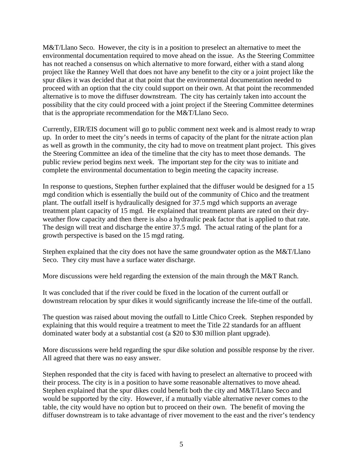M&T/Llano Seco. However, the city is in a position to preselect an alternative to meet the environmental documentation required to move ahead on the issue. As the Steering Committee has not reached a consensus on which alternative to more forward, either with a stand along project like the Ranney Well that does not have any benefit to the city or a joint project like the spur dikes it was decided that at that point that the environmental documentation needed to proceed with an option that the city could support on their own. At that point the recommended alternative is to move the diffuser downstream. The city has certainly taken into account the possibility that the city could proceed with a joint project if the Steering Committee determines that is the appropriate recommendation for the M&T/Llano Seco.

Currently, EIR/EIS document will go to public comment next week and is almost ready to wrap up. In order to meet the city's needs in terms of capacity of the plant for the nitrate action plan as well as growth in the community, the city had to move on treatment plant project. This gives the Steering Committee an idea of the timeline that the city has to meet those demands. The public review period begins next week. The important step for the city was to initiate and complete the environmental documentation to begin meeting the capacity increase.

In response to questions, Stephen further explained that the diffuser would be designed for a 15 mgd condition which is essentially the build out of the community of Chico and the treatment plant. The outfall itself is hydraulically designed for 37.5 mgd which supports an average treatment plant capacity of 15 mgd. He explained that treatment plants are rated on their dry weather flow capacity and then there is also a hydraulic peak factor that is applied to that rate. The design will treat and discharge the entire 37.5 mgd. The actual rating of the plant for a growth perspective is based on the 15 mgd rating.

Stephen explained that the city does not have the same groundwater option as the M&T/Llano Seco. They city must have a surface water discharge.

More discussions were held regarding the extension of the main through the M&T Ranch.

It was concluded that if the river could be fixed in the location of the current outfall or downstream relocation by spur dikes it would significantly increase the life-time of the outfall.

The question was raised about moving the outfall to Little Chico Creek. Stephen responded by explaining that this would require a treatment to meet the Title 22 standards for an affluent dominated water body at a substantial cost (a \$20 to \$30 million plant upgrade).

More discussions were held regarding the spur dike solution and possible response by the river. All agreed that there was no easy answer.

Stephen responded that the city is faced with having to preselect an alternative to proceed with their process. The city is in a position to have some reasonable alternatives to move ahead. Stephen explained that the spur dikes could benefit both the city and M&T/Llano Seco and would be supported by the city. However, if a mutually viable alternative never comes to the table, the city would have no option but to proceed on their own. The benefit of moving the diffuser downstream is to take advantage of river movement to the east and the river's tendency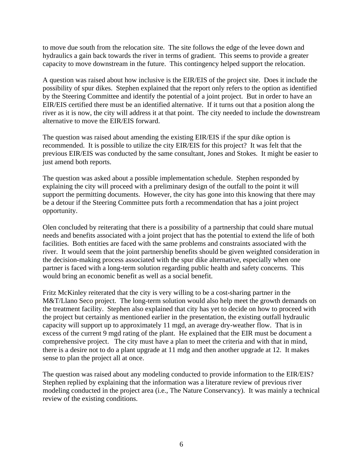to move due south from the relocation site. The site follows the edge of the levee down and hydraulics a gain back towards the river in terms of gradient. This seems to provide a greater

capacity to move downstream in the future. This contingency helped support the relocation. A question was raised about how inclusive is the EIR/EIS of the project site. Does it include the possibility of spur dikes. Stephen explained that the report only refers to the option as identified by the Steering Committee and identify the potential of a joint project. But in order to have an EIR/EIS certified there must be an identified alternative. If it turns out that a position along the river as it is now, the city will address it at that point. The city needed to include the downstream alternative to move the EIR/EIS forward.

The question was raised about amending the existing EIR/EIS if the spur dike option is recommended. It is possible to utilize the city EIR/EIS for this project? It was felt that the previous EIR/EIS was conducted by the same consultant, Jones and Stokes. It might be easier to just amend both reports.

The question was asked about a possible implementation schedule. Stephen responded by explaining the city will proceed with a preliminary design of the outfall to the point it will support the permitting documents. However, the city has gone into this knowing that there may be a detour if the Steering Committee puts forth a recommendation that has a joint project opportunity.

Olen concluded by reiterating that there is a possibility of a partnership that could share mutual needs and benefits associated with a joint project that has the potential to extend the life of both facilities. Both entities are faced with the same problems and constraints associated with the river. It would seem that the joint partnership benefits should be given weighted consideration in the decision-making process associated with the spur dike alternative, especially when one partner is faced with a long-term solution regarding public health and safety concerns. This would bring an economic benefit as well as a social benefit.

Fritz McKinley reiterated that the city is very willing to be a cost-sharing partner in the M&T/Llano Seco project. The long-term solution would also help meet the growth demands on the treatment facility. Stephen also explained that city has yet to decide on how to proceed with the project but certainly as mentioned earlier in the presentation, the existing outfall hydraulic capacity will support up to approximately 11 mgd, an average dry-weather flow. That is in excess of the current 9 mgd rating of the plant. He explained that the EIR must be document a comprehensive project. The city must have a plan to meet the criteria and with that in mind, there is a desire not to do a plant upgrade at 11 mdg and then another upgrade at 12. It makes sense to plan the project all at once.

The question was raised about any modeling conducted to provide information to the EIR/EIS? Stephen replied by explaining that the information was a literature review of previous river modeling conducted in the project area (i.e., The Nature Conservancy). It was mainly a technical review of the existing conditions.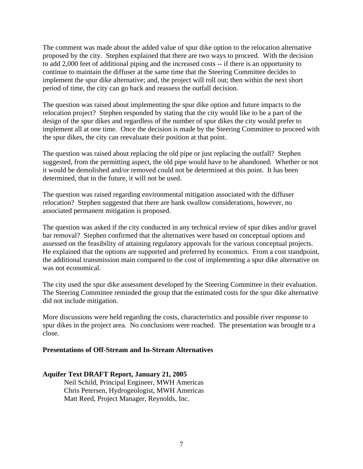The comment was made about the added value of spur dike option to the relocation alternative proposed by the city. Stephen explained that there are two ways to proceed. With the decision to add 2,000 feet of additional piping and the increased costs -- if there is an opportunity to continue to maintain the diffuser at the same time that the Steering Committee decides to implement the spur dike alternative; and, the project will roll out; then within the next short period of time, the city can go back and reassess the outfall decision.

The question was raised about implementing the spur dike option and future impacts to the relocation project? Stephen responded by stating that the city would like to be a part of the design of the spur dikes and regardless of the number of spur dikes the city would prefer to implement all at one time. Once the decision is made by the Steering Committee to proceed with the spur dikes, the city can reevaluate their position at that point.

The question was raised about replacing the old pipe or just replacing the outfall? Stephen suggested, from the permitting aspect, the old pipe would have to be abandoned. Whether or not it would be demolished and/or removed could not be determined at this point. It has been determined, that in the future, it will not be used.

The question was raised regarding environmental mitigation associated with the diffuser relocation? Stephen suggested that there are bank swallow considerations, however, no associated permanent mitigation is proposed.

The question was asked if the city conducted in any technical review of spur dikes and/or gravel bar removal? Stephen confirmed that the alternatives were based on conceptual options and assessed on the feasibility of attaining regulatory approvals for the various conceptual projects. He explained that the options are supported and preferred by economics. From a cost standpoint, the additional transmission main compared to the cost of implementing a spur dike alternative on was not economical.

The city used the spur dike assessment developed by the Steering Committee in their evaluation. The Steering Committee reminded the group that the estimated costs for the spur dike alternative did not include mitigation.

More discussions were held regarding the costs, characteristics and possible river response to spur dikes in the project area. No conclusions were reached. The presentation was brought to a close.

#### **Presentations of Off-Stream and In-Stream Alternatives**

#### **Aquifer Text DRAFT Report, January 21, 2005**

Neil Schild, Principal Engineer, MWH Americas Chris Petersen, Hydrogeologist, MWH Americas Matt Reed, Project Manager, Reynolds, Inc.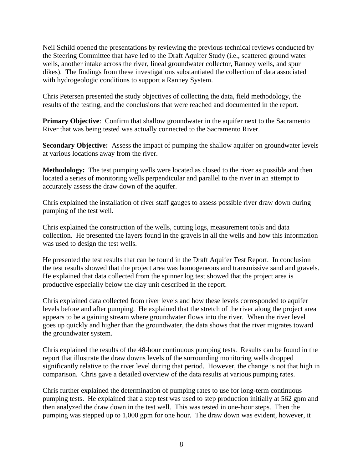Neil Schild opened the presentations by reviewing the previous technical reviews conducted by the Steering Committee that have led to the Draft Aquifer Study (i.e., scattered ground water wells, another intake across the river, lineal groundwater collector, Ranney wells, and spur dikes). The findings from these investigations substantiated the collection of data associated with hydrogeologic conditions to support a Ranney System.

Chris Petersen presented the study objectives of collecting the data, field methodology, the results of the testing, and the conclusions that were reached and documented in the report.

**Primary Objective:** Confirm that shallow groundwater in the aquifer next to the Sacramento River that was being tested was actually connected to the Sacramento River.

**Secondary Objective:** Assess the impact of pumping the shallow aquifer on groundwater levels at various locations away from the river.

**Methodology:** The test pumping wells were located as closed to the river as possible and then located a series of monitoring wells perpendicular and parallel to the river in an attempt to accurately assess the draw down of the aquifer.

Chris explained the installation of river staff gauges to assess possible river draw down during pumping of the test well.

Chris explained the construction of the wells, cutting logs, measurement tools and data collection. He presented the layers found in the gravels in all the wells and how this information was used to design the test wells.

He presented the test results that can be found in the Draft Aquifer Test Report. In conclusion the test results showed that the project area was homogeneous and transmissive sand and gravels. He explained that data collected from the spinner log test showed that the project area is productive especially below the clay unit described in the report.

Chris explained data collected from river levels and how these levels corresponded to aquifer levels before and after pumping. He explained that the stretch of the river along the project area appears to be a gaining stream where groundwater flows into the river. When the river level goes up quickly and higher than the groundwater, the data shows that the river migrates toward the groundwater system.

Chris explained the results of the 48-hour continuous pumping tests. Results can be found in the report that illustrate the draw downs levels of the surrounding monitoring wells dropped significantly relative to the river level during that period. However, the change is not that high in comparison. Chris gave a detailed overview of the data results at various pumping rates.

Chris further explained the determination of pumping rates to use for long-term continuous pumping tests. He explained that a step test was used to step production initially at 562 gpm and then analyzed the draw down in the test well. This was tested in one-hour steps. Then the pumping was stepped up to 1,000 gpm for one hour. The draw down was evident, however, it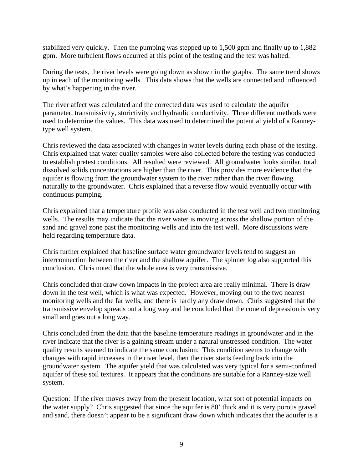stabilized very quickly. Then the pumping was stepped up to 1,500 gpm and finally up to 1,882 gpm. More turbulent flows occurred at this point of the testing and the test was halted.

During the tests, the river levels were going down as shown in the graphs. The same trend shows up in each of the monitoring wells. This data shows that the wells are connected and influenced by what's happening in the river.

The river affect was calculated and the corrected data was used to calculate the aquifer parameter, transmissivity, storictivity and hydraulic conductivity. Three different methods were used to determine the values. This data was used to determined the potential yield of a Ranneytype well system.

Chris reviewed the data associated with changes in water levels during each phase of the testing. Chris explained that water quality samples were also collected before the testing was conducted to establish pretest conditions. All resulted were reviewed. All groundwater looks similar, total dissolved solids concentrations are higher than the river. This provides more evidence that the aquifer is flowing from the groundwater system to the river rather than the river flowing naturally to the groundwater. Chris explained that a reverse flow would eventually occur with continuous pumping.

Chris explained that a temperature profile was also conducted in the test well and two monitoring wells. The results may indicate that the river water is moving across the shallow portion of the sand and gravel zone past the monitoring wells and into the test well. More discussions were held regarding temperature data.

Chris further explained that baseline surface water groundwater levels tend to suggest an interconnection between the river and the shallow aquifer. The spinner log also supported this conclusion. Chris noted that the whole area is very transmissive.

Chris concluded that draw down impacts in the project area are really minimal. There is draw down in the test well, which is what was expected. However, moving out to the two nearest monitoring wells and the far wells, and there is hardly any draw down. Chris suggested that the transmissive envelop spreads out a long way and he concluded that the cone of depression is very small and goes out a long way.

Chris concluded from the data that the baseline temperature readings in groundwater and in the river indicate that the river is a gaining stream under a natural unstressed condition. The water quality results seemed to indicate the same conclusion. This condition seems to change with changes with rapid increases in the river level, then the river starts feeding back into the groundwater system. The aquifer yield that was calculated was very typical for a semi-confined aquifer of these soil textures. It appears that the conditions are suitable for a Ranney-size well system.

Question: If the river moves away from the present location, what sort of potential impacts on the water supply? Chris suggested that since the aquifer is 80' thick and it is very porous gravel and sand, there doesn't appear to be a significant draw down which indicates that the aquifer is a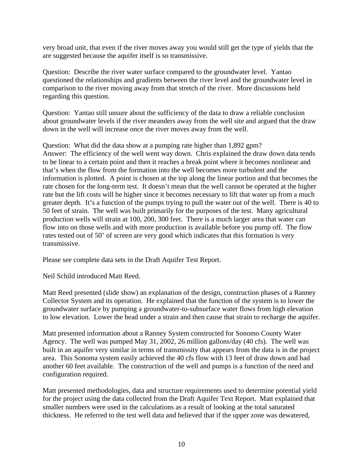very broad unit, that even if the river moves away you would still get the type of yields that the are suggested because the aquifer itself is so transmissive.

Question: Describe the river water surface compared to the groundwater level. Yantao questioned the relationships and gradients between the river level and the groundwater level in comparison to the river moving away from that stretch of the river. More discussions held regarding this question.

Question: Yantao still unsure about the sufficiency of the data to draw a reliable conclusion about groundwater levels if the river meanders away from the well site and argued that the draw down in the well will increase once the river moves away from the well.

Question: What did the data show at a pumping rate higher than 1,892 gpm? Answer: The efficiency of the well went way down. Chris explained the draw down data tends to be linear to a certain point and then it reaches a break point where it becomes nonlinear and that's when the flow from the formation into the well becomes more turbulent and the information is plotted. A point is chosen at the top along the linear portion and that becomes the rate chosen for the long-term test. It doesn't mean that the well cannot be operated at the higher rate but the lift costs will be higher since it becomes necessary to lift that water up from a much greater depth. It's a function of the pumps trying to pull the water out of the well. There is 40 to 50 feet of strain. The well was built primarily for the purposes of the test. Many agricultural production wells will strain at 100, 200, 300 feet. There is a much larger area that water can flow into on those wells and with more production is available before you pump off. The flow rates tested out of 50' of screen are very good which indicates that this formation is very transmissive.

Please see complete data sets in the Draft Aquifer Test Report.

Neil Schild introduced Matt Reed.

Matt Reed presented (slide show) an explanation of the design, construction phases of a Ranney Collector System and its operation. He explained that the function of the system is to lower the groundwater surface by pumping a groundwater-to-subsurface water flows from high elevation to low elevation. Lower the head under a strain and then cause that strain to recharge the aquifer.

Matt presented information about a Ranney System constructed for Sonomo County Water Agency. The well was pumped May 31, 2002, 26 million gallons/day (40 cfs). The well was built in an aquifer very similar in terms of transmissity that appears from the data is in the project area. This Sonoma system easily achieved the 40 cfs flow with 13 feet of draw down and had another 60 feet available. The construction of the well and pumps is a function of the need and configuration required.

Matt presented methodologies, data and structure requirements used to determine potential yield for the project using the data collected from the Draft Aquifer Text Report. Matt explained that smaller numbers were used in the calculations as a result of looking at the total saturated thickness. He referred to the test well data and believed that if the upper zone was dewatered,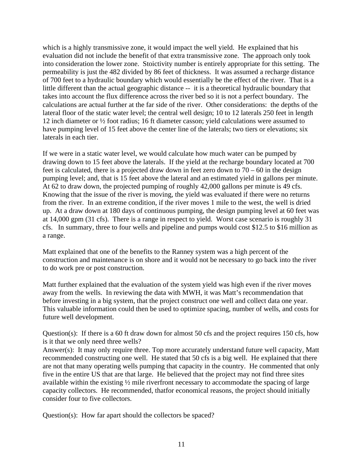which is a highly transmissive zone, it would impact the well yield. He explained that his evaluation did not include the benefit of that extra transmissive zone. The approach only took into consideration the lower zone. Stoictivity number is entirely appropriate for this setting. The permeability is just the 482 divided by 86 feet of thickness. It was assumed a recharge distance of 700 feet to a hydraulic boundary which would essentially be the effect of the river. That is a little different than the actual geographic distance -- it is a theoretical hydraulic boundary that takes into account the flux difference across the river bed so it is not a perfect boundary. The calculations are actual further at the far side of the river. Other considerations: the depths of the lateral floor of the static water level; the central well design; 10 to 12 laterals 250 feet in length 12 inch diameter or ½ foot radius; 16 ft diameter casson; yield calculations were assumed to have pumping level of 15 feet above the center line of the laterals; two tiers or elevations; six laterals in each tier.

If we were in a static water level, we would calculate how much water can be pumped by drawing down to 15 feet above the laterals. If the yield at the recharge boundary located at 700 feet is calculated, there is a projected draw down in feet zero down to  $70 - 60$  in the design pumping level; and, that is 15 feet above the lateral and an estimated yield in gallons per minute. At 62 to draw down, the projected pumping of roughly 42,000 gallons per minute is 49 cfs. Knowing that the issue of the river is moving, the yield was evaluated if there were no returns from the river. In an extreme condition, if the river moves 1 mile to the west, the well is dried up. At a draw down at 180 days of continuous pumping, the design pumping level at 60 feet was at 14,000 gpm (31 cfs). There is a range in respect to yield. Worst case scenario is roughly 31 cfs. In summary, three to four wells and pipeline and pumps would cost \$12.5 to \$16 million as a range.

Matt explained that one of the benefits to the Ranney system was a high percent of the construction and maintenance is on shore and it would not be necessary to go back into the river to do work pre or post construction.

Matt further explained that the evaluation of the system yield was high even if the river moves away from the wells. In reviewing the data with MWH, it was Matt's recommendation that before investing in a big system, that the project construct one well and collect data one year. This valuable information could then be used to optimize spacing, number of wells, and costs for future well development.

Question(s): If there is a 60 ft draw down for almost 50 cfs and the project requires 150 cfs, how is it that we only need three wells?

Answer(s): It may only require three. Top more accurately understand future well capacity, Matt recommended constructing one well. He stated that 50 cfs is a big well. He explained that there are not that many operating wells pumping that capacity in the country. He commented that only five in the entire US that are that large. He believed that the project may not find three sites available within the existing ½ mile riverfront necessary to accommodate the spacing of large capacity collectors. He recommended, thatfor economical reasons, the project should initially consider four to five collectors.<br>Question(s): How far apart should the collectors be spaced?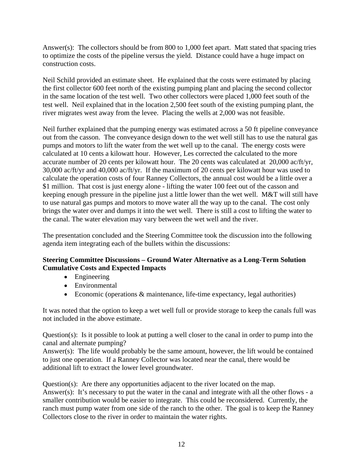Answer(s): The collectors should be from 800 to 1,000 feet apart. Matt stated that spacing tries to optimize the costs of the pipeline versus the yield. Distance could have a huge impact on construction costs.

Neil Schild provided an estimate sheet. He explained that the costs were estimated by placing the first collector 600 feet north of the existing pumping plant and placing the second collector in the same location of the test well. Two other collectors were placed 1,000 feet south of the test well. Neil explained that in the location 2,500 feet south of the existing pumping plant, the river migrates west away from the levee. Placing the wells at 2,000 was not feasible.

Neil further explained that the pumping energy was estimated across a 50 ft pipeline conveyance out from the casson. The conveyance design down to the wet well still has to use the natural gas pumps and motors to lift the water from the wet well up to the canal. The energy costs were calculated at 10 cents a kilowatt hour. However, Les corrected the calculated to the more accurate number of 20 cents per kilowatt hour. The 20 cents was calculated at 20,000 ac/ft/yr, 30,000 ac/ft/yr and 40,000 ac/ft/yr. If the maximum of 20 cents per kilowatt hour was used to calculate the operation costs of four Ranney Collectors, the annual cost would be a little over a \$1 million. That cost is just energy alone - lifting the water 100 feet out of the casson and keeping enough pressure in the pipeline just a little lower than the wet well. M&T will still have to use natural gas pumps and motors to move water all the way up to the canal. The cost only brings the water over and dumps it into the wet well. There is still a cost to lifting the water to the canal. The water elevation may vary between the wet well and the river.

The presentation concluded and the Steering Committee took the discussion into the following agenda item integrating each of the bullets within the discussions:

## **Steering Committee Discussions – Ground Water Alternative as a Long-Term Solution Cumulative Costs and Expected Impacts**

- Engineering
- Environmental
- Economic (operations & maintenance, life-time expectancy, legal authorities)

It was noted that the option to keep a wet well full or provide storage to keep the canals full was not included in the above estimate.

Question(s): Is it possible to look at putting a well closer to the canal in order to pump into the canal and alternate pumping?

Answer(s): The life would probably be the same amount, however, the lift would be contained to just one operation. If a Ranney Collector was located near the canal, there would be additional lift to extract the lower level groundwater.

Question(s): Are there any opportunities adjacent to the river located on the map. Answer(s): It's necessary to put the water in the canal and integrate with all the other flows - a smaller contribution would be easier to integrate. This could be reconsidered. Currently, the ranch must pump water from one side of the ranch to the other. The goal is to keep the Ranney Collectors close to the river in order to maintain the water rights.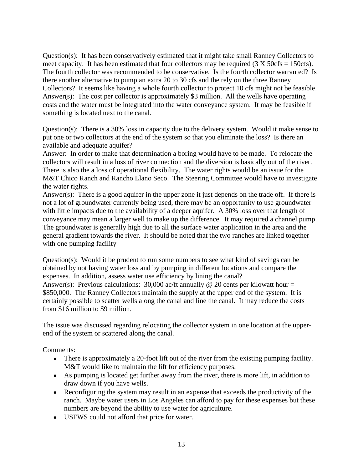Question(s): It has been conservatively estimated that it might take small Ranney Collectors to meet capacity. It has been estimated that four collectors may be required  $(3 \text{ X } 50 \text{ cfs} = 150 \text{ cfs})$ . The fourth collector was recommended to be conservative. Is the fourth collector warranted? Is there another alternative to pump an extra 20 to 30 cfs and the rely on the three Ranney Collectors? It seems like having a whole fourth collector to protect 10 cfs might not be feasible. Answer(s): The cost per collector is approximately \$3 million. All the wells have operating costs and the water must be integrated into the water conveyance system. It may be feasible if something is located next to the canal.

Question(s): There is a 30% loss in capacity due to the delivery system. Would it make sense to put one or two collectors at the end of the system so that you eliminate the loss? Is there an available and adequate aquifer?

Answer: In order to make that determination a boring would have to be made. To relocate the collectors will result in a loss of river connection and the diversion is basically out of the river. There is also the a loss of operational flexibility. The water rights would be an issue for the M&T Chico Ranch and Rancho Llano Seco. The Steering Committee would have to investigate the water rights.

Answer(s): There is a good aquifer in the upper zone it just depends on the trade off. If there is not a lot of groundwater currently being used, there may be an opportunity to use groundwater with little impacts due to the availability of a deeper aquifer. A 30% loss over that length of conveyance may mean a larger well to make up the difference. It may required a channel pump. The groundwater is generally high due to all the surface water application in the area and the general gradient towards the river. It should be noted that the two ranches are linked together with one pumping facility

Question(s): Would it be prudent to run some numbers to see what kind of savings can be obtained by not having water loss and by pumping in different locations and compare the expenses. In addition, assess water use efficiency by lining the canal? Answer(s): Previous calculations: 30,000 ac/ft annually @ 20 cents per kilowatt hour = \$850,000. The Ranney Collectors maintain the supply at the upper end of the system. It is certainly possible to scatter wells along the canal and line the canal. It may reduce the costs from \$16 million to \$9 million.

The issue was discussed regarding relocating the collector system in one location at the upper end of the system or scattered along the canal.

Comments:

- There is approximately a 20-foot lift out of the river from the existing pumping facility. M&T would like to maintain the lift for efficiency purposes.
- As pumping is located get further away from the river, there is more lift, in addition to draw down if you have wells.
- Reconfiguring the system may result in an expense that exceeds the productivity of the ranch. Maybe water users in Los Angeles can afford to pay for these expenses but these numbers are beyond the ability to use water for agriculture.
- USFWS could not afford that price for water.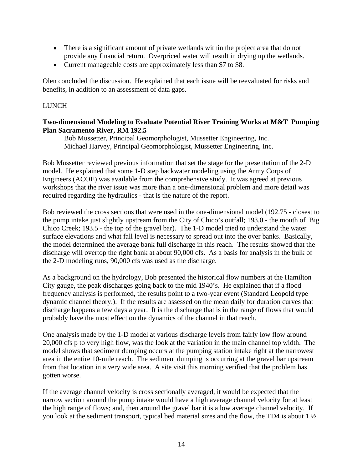- There is a significant amount of private wetlands within the project area that do not provide any financial return. Overpriced water will result in drying up the wetlands.<br>Current manageable costs are approximately less than \$7 to \$8.
- 

Olen concluded the discussion. He explained that each issue will be reevaluated for risks and benefits, in addition to an assessment of data gaps.

## LUNCH

## **Two-dimensional Modeling to Evaluate Potential River Training Works at M&T Pumping Plan Sacramento River, RM 192.5**

Bob Mussetter, Principal Geomorphologist, Mussetter Engineering, Inc. Michael Harvey, Principal Geomorphologist, Mussetter Engineering, Inc.

Bob Mussetter reviewed previous information that set the stage for the presentation of the 2-D model. He explained that some 1-D step backwater modeling using the Army Corps of Engineers (ACOE) was available from the comprehensive study. It was agreed at previous workshops that the river issue was more than a one-dimensional problem and more detail was required regarding the hydraulics - that is the nature of the report.

Bob reviewed the cross sections that were used in the one-dimensional model (192.75 - closest to the pump intake just slightly upstream from the City of Chico's outfall; 193.0 - the mouth of Big Chico Creek; 193.5 - the top of the gravel bar). The 1-D model tried to understand the water surface elevations and what fall level is necessary to spread out into the over banks. Basically, the model determined the average bank full discharge in this reach. The results showed that the discharge will overtop the right bank at about 90,000 cfs. As a basis for analysis in the bulk of the 2-D modeling runs, 90,000 cfs was used as the discharge.

As a background on the hydrology, Bob presented the historical flow numbers at the Hamilton City gauge, the peak discharges going back to the mid 1940's. He explained that if a flood frequency analysis is performed, the results point to a two-year event (Standard Leopold type dynamic channel theory.). If the results are assessed on the mean daily for duration curves that discharge happens a few days a year. It is the discharge that is in the range of flows that would probably have the most effect on the dynamics of the channel in that reach.

One analysis made by the 1-D model at various discharge levels from fairly low flow around 20,000 cfs p to very high flow, was the look at the variation in the main channel top width. The model shows that sediment dumping occurs at the pumping station intake right at the narrowest area in the entire 10-mile reach. The sediment dumping is occurring at the gravel bar upstream from that location in a very wide area. A site visit this morning verified that the problem has gotten worse.

If the average channel velocity is cross sectionally averaged, it would be expected that the narrow section around the pump intake would have a high average channel velocity for at least the high range of flows; and, then around the gravel bar it is a low average channel velocity. If you look at the sediment transport, typical bed material sizes and the flow, the TD4 is about 1 ½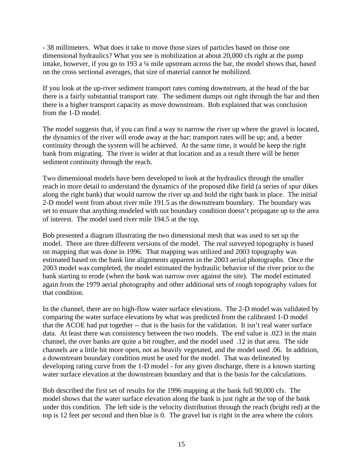- 38 millimeters. What does it take to move those sizes of particles based on those one dimensional hydraulics? What you see is mobilization at about 20,000 cfs right at the pump intake, however, if you go to 193 a ¼ mile upstream across the bar, the model shows that, based on the cross sectional averages, that size of material cannot be mobilized.

If you look at the up-river sediment transport rates coming downstream, at the head of the bar there is a fairly substantial transport rate. The sediment dumps out right through the bar and then there is a higher transport capacity as move downstream. Bob explained that was conclusion from the 1-D model.

The model suggests that, if you can find a way to narrow the river up where the gravel is located, the dynamics of the river will erode away at the bar; transport rates will be up; and, a better continuity through the system will be achieved. At the same time, it would be keep the right bank from migrating. The river is wider at that location and as a result there will be better sediment continuity through the reach.

Two dimensional models have been developed to look at the hydraulics through the smaller reach in more detail to understand the dynamics of the proposed dike field (a series of spur dikes along the right bank) that would narrow the river up and hold the right bank in place. The initial 2-D model went from about river mile 191.5 as the downstream boundary. The boundary was set to ensure that anything modeled with out boundary condition doesn't propagate up to the area of interest. The model used river mile 194.5 at the top.

Bob presented a diagram illustrating the two dimensional mesh that was used to set up the model. There are three different versions of the model. The real surveyed topography is based on mapping that was done in 1996. That mapping was utilized and 2003 topography was estimated based on the bank line alignments apparent in the 2003 aerial photographs. Once the 2003 model was completed, the model estimated the hydraulic behavior of the river prior to the bank starting to erode (when the bank was narrow over against the site). The model estimated again from the 1979 aerial photography and other additional sets of rough topography values for that condition.

In the channel, there are no high-flow water surface elevations. The 2-D model was validated by comparing the water surface elevations by what was predicted from the calibrated 1-D model that the ACOE had put together -- that is the basis for the validation. It isn't real water surface data. At least there was consistency between the two models. The end value is .023 in the main channel, the over banks are quite a bit rougher, and the model used .12 in that area. The side channels are a little bit more open, not as heavily vegetated, and the model used .06. In addition, a downstream boundary condition must be used for the model. That was delineated by developing rating curve from the 1-D model - for any given discharge, there is a known starting water surface elevation at the downstream boundary and that is the basis for the calculations.

Bob described the first set of results for the 1996 mapping at the bank full 90,000 cfs. The model shows that the water surface elevation along the bank is just right at the top of the bank under this condition. The left side is the velocity distribution through the reach (bright red) at the top is 12 feet per second and then blue is 0. The gravel bar is right in the area where the colors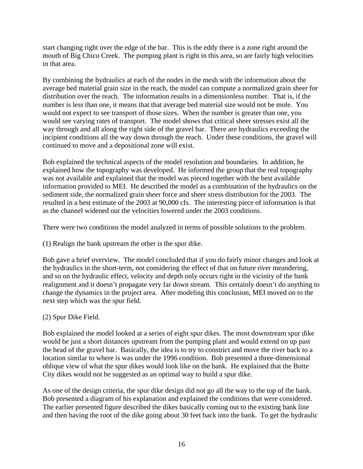start changing right over the edge of the bar. This is the eddy there is a zone right around the mouth of Big Chico Creek. The pumping plant is right in this area, so are fairly high velocities in that area.

By combining the hydraulics at each of the nodes in the mesh with the information about the average bed material grain size in the reach, the model can compute a normalized grain sheer for distribution over the reach. The information results in a dimensionless number. That is, if the number is less than one, it means that that average bed material size would not be mole. You would not expect to see transport of those sizes. When the number is greater than one, you would see varying rates of transport. The model shows that critical sheer stresses exist all the way through and all along the right side of the gravel bar. There are hydraulics exceeding the incipient conditions all the way down through the reach. Under these conditions, the gravel will continued to move and a depositional zone will exist.

Bob explained the technical aspects of the model resolution and boundaries. In addition, he explained how the topography was developed. He informed the group that the real topography was not available and explained that the model was pieced together with the best available information provided to MEI. He described the model as a combination of the hydraulics on the sediment side, the normalized grain sheer force and sheer stress distribution for the 2003. The resulted in a best estimate of the 2003 at 90,000 cfs. The interesting piece of information is that as the channel widened out the velocities lowered under the 2003 conditions.

There were two conditions the model analyzed in terms of possible solutions to the problem.

(1) Realign the bank upstream the other is the spur dike.

Bob gave a brief overview. The model concluded that if you do fairly minor changes and look at the hydraulics in the short-term, not considering the effect of that on future river meandering, and so on the hydraulic effect, velocity and depth only occurs right in the vicinity of the bank realignment and it doesn't propagate very far down stream. This certainly doesn't do anything to change the dynamics in the project area. After modeling this conclusion, MEI moved on to the next step which was the spur field.

## (2) Spur Dike Field.

Bob explained the model looked at a series of eight spur dikes. The most downstream spur dike would be just a short distances upstream from the pumping plant and would extend on up past the head of the gravel bar. Basically, the idea is to try to constrict and move the river back to a location similar to where is was under the 1996 condition. Bob presented a three-dimensional oblique view of what the spur dikes would look like on the bank. He explained that the Butte City dikes would not be suggested as an optimal way to build a spur dike.

As one of the design criteria, the spur dike design did not go all the way to the top of the bank. Bob presented a diagram of his explanation and explained the conditions that were considered. The earlier presented figure described the dikes basically coming out to the existing bank line and then having the root of the dike going about 30 feet back into the bank. To get the hydraulic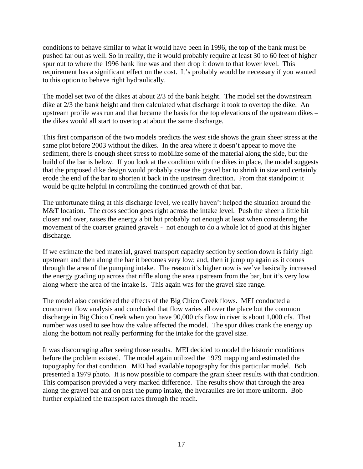conditions to behave similar to what it would have been in 1996, the top of the bank must be pushed far out as well. So in reality, the it would probably require at least 30 to 60 feet of higher spur out to where the 1996 bank line was and then drop it down to that lower level. This requirement has a significant effect on the cost. It's probably would be necessary if you wanted to this option to behave right hydraulically.

The model set two of the dikes at about 2/3 of the bank height. The model set the downstream dike at 2/3 the bank height and then calculated what discharge it took to overtop the dike. An upstream profile was run and that became the basis for the top elevations of the upstream dikes – the dikes would all start to overtop at about the same discharge.

This first comparison of the two models predicts the west side shows the grain sheer stress at the same plot before 2003 without the dikes. In the area where it doesn't appear to move the sediment, there is enough sheet stress to mobilize some of the material along the side, but the build of the bar is below. If you look at the condition with the dikes in place, the model suggests that the proposed dike design would probably cause the gravel bar to shrink in size and certainly erode the end of the bar to shorten it back in the upstream direction. From that standpoint it would be quite helpful in controlling the continued growth of that bar.

The unfortunate thing at this discharge level, we really haven't helped the situation around the M&T location. The cross section goes right across the intake level. Push the sheer a little bit closer and over, raises the energy a bit but probably not enough at least when considering the movement of the coarser grained gravels - not enough to do a whole lot of good at this higher discharge. The contract of the contract of the contract of the contract of the contract of the contract of the contract of the contract of the contract of the contract of the contract of the contract of the contract of the

If we estimate the bed material, gravel transport capacity section by section down is fairly high upstream and then along the bar it becomes very low; and, then it jump up again as it comes through the area of the pumping intake. The reason it's higher now is we've basically increased the energy grading up across that riffle along the area upstream from the bar, but it's very low along where the area of the intake is. This again was for the gravel size range.

The model also considered the effects of the Big Chico Creek flows. MEI conducted a concurrent flow analysis and concluded that flow varies all over the place but the common discharge in Big Chico Creek when you have 90,000 cfs flow in river is about 1,000 cfs. That number was used to see how the value affected the model. The spur dikes crank the energy up along the bottom not really performing for the intake for the gravel size.

It was discouraging after seeing those results. MEI decided to model the historic conditions before the problem existed. The model again utilized the 1979 mapping and estimated the topography for that condition. MEI had available topography for this particular model. Bob presented a 1979 photo. It is now possible to compare the grain sheer results with that condition. This comparison provided a very marked difference. The results show that through the area along the gravel bar and on past the pump intake, the hydraulics are lot more uniform. Bob further explained the transport rates through the reach.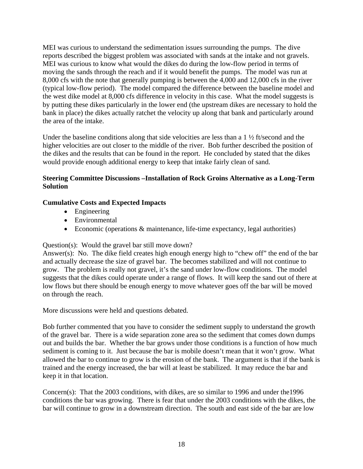MEI was curious to understand the sedimentation issues surrounding the pumps. The dive reports described the biggest problem was associated with sands at the intake and not gravels. MEI was curious to know what would the dikes do during the low-flow period in terms of moving the sands through the reach and if it would benefit the pumps. The model was run at 8,000 cfs with the note that generally pumping is between the 4,000 and 12,000 cfs in the river (typical low-flow period). The model compared the difference between the baseline model and the west dike model at 8,000 cfs difference in velocity in this case. What the model suggests is by putting these dikes particularly in the lower end (the upstream dikes are necessary to hold the bank in place) the dikes actually ratchet the velocity up along that bank and particularly around the area of the intake.

Under the baseline conditions along that side velocities are less than a  $1\frac{1}{2}$  ft/second and the higher velocities are out closer to the middle of the river. Bob further described the position of the dikes and the results that can be found in the report. He concluded by stated that the dikes would provide enough additional energy to keep that intake fairly clean of sand.

## **Steering Committee Discussions –Installation of Rock Groins Alternative as a Long-Term Solution**

## **Cumulative Costs and Expected Impacts**

- Engineering
- Environmental
- Economic (operations & maintenance, life-time expectancy, legal authorities)

## Question(s): Would the gravel bar still move down?

Answer(s): No. The dike field creates high enough energy high to "chew off" the end of the bar and actually decrease the size of gravel bar. The becomes stabilized and will not continue to grow. The problem is really not gravel, it's the sand under low-flow conditions. The model suggests that the dikes could operate under a range of flows. It will keep the sand out of there at low flows but there should be enough energy to move whatever goes off the bar will be moved on through the reach.

More discussions were held and questions debated.

Bob further commented that you have to consider the sediment supply to understand the growth of the gravel bar. There is a wide separation zone area so the sediment that comes down dumps out and builds the bar. Whether the bar grows under those conditions is a function of how much sediment is coming to it. Just because the bar is mobile doesn't mean that it won't grow. What allowed the bar to continue to grow is the erosion of the bank. The argument is that if the bank is trained and the energy increased, the bar will at least be stabilized. It may reduce the bar and keep it in that location.

Concern(s): That the 2003 conditions, with dikes, are so similar to 1996 and under the1996 conditions the bar was growing. There is fear that under the 2003 conditions with the dikes, the bar will continue to grow in a downstream direction. The south and east side of the bar are low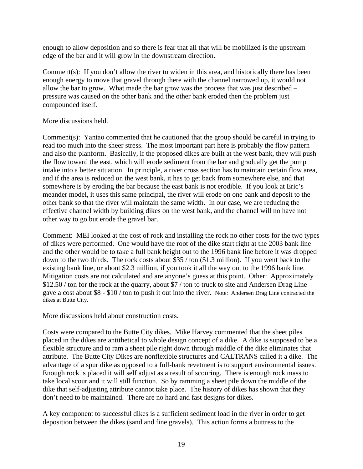enough to allow deposition and so there is fear that all that will be mobilized is the upstream edge of the bar and it will grow in the downstream direction.

Comment(s): If you don't allow the river to widen in this area, and historically there has been enough energy to move that gravel through there with the channel narrowed up, it would not allow the bar to grow. What made the bar grow was the process that was just described – pressure was caused on the other bank and the other bank eroded then the problem just compounded itself.

#### More discussions held.

Comment(s): Yantao commented that he cautioned that the group should be careful in trying to read too much into the sheer stress. The most important part here is probably the flow pattern and also the planform. Basically, if the proposed dikes are built at the west bank, they will push the flow toward the east, which will erode sediment from the bar and gradually get the pump intake into a better situation. In principle, a river cross section has to maintain certain flow area, and if the area is reduced on the west bank, it has to get back from somewhere else, and that somewhere is by eroding the bar because the east bank is not erodible. If you look at Eric's meander model, it uses this same principal, the river will erode on one bank and deposit to the other bank so that the river will maintain the same width. In our case, we are reducing the effective channel width by building dikes on the west bank, and the channel will no have not other way to go but erode the gravel bar.

Comment: MEI looked at the cost of rock and installing the rock no other costs for the two types of dikes were performed. One would have the root of the dike start right at the 2003 bank line and the other would be to take a full bank height out to the 1996 bank line before it was dropped down to the two thirds. The rock costs about \$35 / ton (\$1.3 million). If you went back to the existing bank line, or about \$2.3 million, if you took it all the way out to the 1996 bank line. Mitigation costs are not calculated and are anyone's guess at this point. Other: Approximately \$12.50 / ton for the rock at the quarry, about \$7 / ton to truck to site and Andersen Drag Line gave a cost about \$8 - \$10 / ton to push it out into the river. Note: Andersen Drag Line contracted the dikes at Butte City.

More discussions held about construction costs.

Costs were compared to the Butte City dikes. Mike Harvey commented that the sheet piles placed in the dikes are antithetical to whole design concept of a dike. A dike is supposed to be a flexible structure and to ram a sheet pile right down through middle of the dike eliminates that attribute. The Butte City Dikes are nonflexible structures and CALTRANS called it a dike. The advantage of a spur dike as opposed to a full-bank revetment is to support environmental issues. Enough rock is placed it will self adjust as a result of scouring. There is enough rock mass to take local scour and it will still function. So by ramming a sheet pile down the middle of the dike that self-adjusting attribute cannot take place. The history of dikes has shown that they don't need to be maintained. There are no hard and fast designs for dikes.

A key component to successful dikes is a sufficient sediment load in the river in order to get deposition between the dikes (sand and fine gravels). This action forms a buttress to the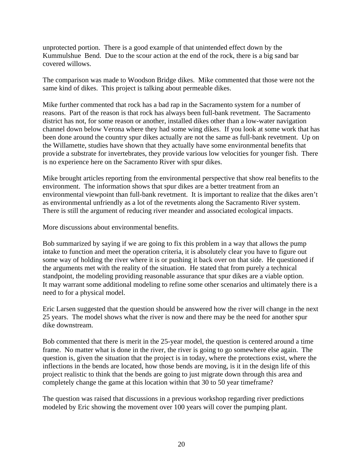unprotected portion. There is a good example of that unintended effect down by the Kummulshue Bend. Due to the scour action at the end of the rock, there is a big sand bar covered willows.

The comparison was made to Woodson Bridge dikes. Mike commented that those were not the same kind of dikes. This project is talking about permeable dikes.

Mike further commented that rock has a bad rap in the Sacramento system for a number of reasons. Part of the reason is that rock has always been full-bank revetment. The Sacramento district has not, for some reason or another, installed dikes other than a low-water navigation channel down below Verona where they had some wing dikes. If you look at some work that has been done around the country spur dikes actually are not the same as full-bank revetment. Up on the Willamette, studies have shown that they actually have some environmental benefits that provide a substrate for invertebrates, they provide various low velocities for younger fish. There is no experience here on the Sacramento River with spur dikes.

Mike brought articles reporting from the environmental perspective that show real benefits to the environment. The information shows that spur dikes are a better treatment from an environmental viewpoint than full-bank revetment. It is important to realize that the dikes aren't as environmental unfriendly as a lot of the revetments along the Sacramento River system. There is still the argument of reducing river meander and associated ecological impacts.

More discussions about environmental benefits.

Bob summarized by saying if we are going to fix this problem in a way that allows the pump intake to function and meet the operation criteria, it is absolutely clear you have to figure out some way of holding the river where it is or pushing it back over on that side. He questioned if the arguments met with the reality of the situation. He stated that from purely a technical standpoint, the modeling providing reasonable assurance that spur dikes are a viable option. It may warrant some additional modeling to refine some other scenarios and ultimately there is a need to for a physical model.

Eric Larsen suggested that the question should be answered how the river will change in the next 25 years. The model shows what the river is now and there may be the need for another spur dike downstream.

Bob commented that there is merit in the 25-year model, the question is centered around a time frame. No matter what is done in the river, the river is going to go somewhere else again. The question is, given the situation that the project is in today, where the protections exist, where the inflections in the bends are located, how those bends are moving, is it in the design life of this project realistic to think that the bends are going to just migrate down through this area and completely change the game at this location within that 30 to 50 year timeframe?

The question was raised that discussions in a previous workshop regarding river predictions modeled by Eric showing the movement over 100 years will cover the pumping plant.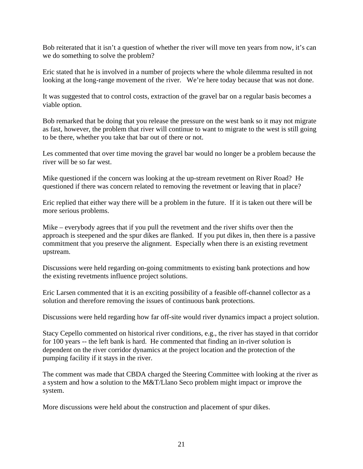Bob reiterated that it isn't a question of whether the river will move ten years from now, it's can we do something to solve the problem?

Eric stated that he is involved in a number of projects where the whole dilemma resulted in not looking at the long-range movement of the river. We're here today because that was not done.

It was suggested that to control costs, extraction of the gravel bar on a regular basis becomes a viable option.

Bob remarked that be doing that you release the pressure on the west bank so it may not migrate as fast, however, the problem that river will continue to want to migrate to the west is still going to be there, whether you take that bar out of there or not.

Les commented that over time moving the gravel bar would no longer be a problem because the river will be so far west.

Mike questioned if the concern was looking at the up-stream revetment on River Road? He questioned if there was concern related to removing the revetment or leaving that in place?

Eric replied that either way there will be a problem in the future. If it is taken out there will be more serious problems.

Mike – everybody agrees that if you pull the revetment and the river shifts over then the approach is steepened and the spur dikes are flanked. If you put dikes in, then there is a passive commitment that you preserve the alignment. Especially when there is an existing revetment upstream.

Discussions were held regarding on-going commitments to existing bank protections and how the existing revetments influence project solutions.

Eric Larsen commented that it is an exciting possibility of a feasible off-channel collector as a solution and therefore removing the issues of continuous bank protections.

Discussions were held regarding how far off-site would river dynamics impact a project solution.

Stacy Cepello commented on historical river conditions, e.g., the river has stayed in that corridor for 100 years -- the left bank is hard. He commented that finding an in-river solution is dependent on the river corridor dynamics at the project location and the protection of the pumping facility if it stays in the river.

The comment was made that CBDA charged the Steering Committee with looking at the river as a system and how a solution to the M&T/Llano Seco problem might impact or improve the system.

More discussions were held about the construction and placement of spur dikes.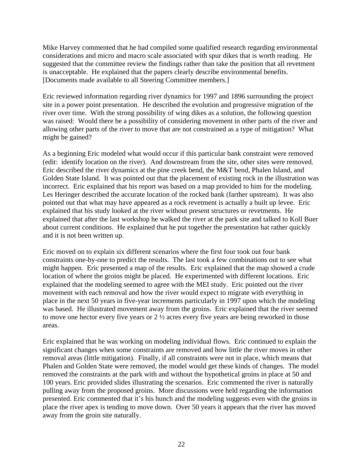Mike Harvey commented that he had compiled some qualified research regarding environmental considerations and micro and macro scale associated with spur dikes that is worth reading. He suggested that the committee review the findings rather than take the position that all revetment is unacceptable. He explained that the papers clearly describe environmental benefits. [Documents made available to all Steering Committee members.]

Eric reviewed information regarding river dynamics for 1997 and 1896 surrounding the project site in a power point presentation. He described the evolution and progressive migration of the river over time. With the strong possibility of wing dikes as a solution, the following question was raised: Would there be a possibility of considering movement in other parts of the river and allowing other parts of the river to move that are not constrained as a type of mitigation? What might be gained?

As a beginning Eric modeled what would occur if this particular bank constraint were removed (edit: identify location on the river). And downstream from the site, other sites were removed. Eric described the river dynamics at the pine creek bend, the M&T bend, Phalen Island, and Golden State Island. It was pointed out that the placement of existing rock in the illustration was incorrect. Eric explained that his report was based on a map provided to him for the modeling. Les Heringer described the accurate location of the rocked bank (farther upstream). It was also pointed out that what may have appeared as a rock revetment is actually a built up levee. Eric explained that his study looked at the river without present structures or revetments. He explained that after the last workshop he walked the river at the park site and talked to Koll Buer about current conditions. He explained that he put together the presentation hat rather quickly and it is not been written up.

Eric moved on to explain six different scenarios where the first four took out four bank constraints one-by-one to predict the results. The last took a few combinations out to see what might happen. Eric presented a map of the results. Eric explained that the map showed a crude location of where the groins might be placed. He experimented with different locations. Eric explained that the modeling seemed to agree with the MEI study. Eric pointed out the river movement with each removal and how the river would expect to migrate with everything in place in the next 50 years in five-year increments particularly in 1997 upon which the modeling was based. He illustrated movement away from the groins. Eric explained that the river seemed to move one hector every five years or 2 ½ acres every five years are being reworked in those areas.

Eric explained that he was working on modeling individual flows. Eric continued to explain the significant changes when some constraints are removed and how little the river moves in other removal areas (little mitigation). Finally, if all constraints were not in place, which means that Phalen and Golden State were removed, the model would get these kinds of changes. The model removed the constraints at the park with and without the hypothetical groins in place at 50 and 100 years. Eric provided slides illustrating the scenarios. Eric commented the river is naturally pulling away from the proposed groins. More discussions were held regarding the information presented. Eric commented that it's his hunch and the modeling suggests even with the groins in place the river apex is tending to move down. Over 50 years it appears that the river has moved away from the groin site naturally.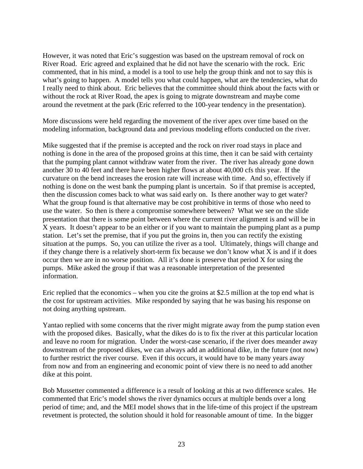However, it was noted that Eric's suggestion was based on the upstream removal of rock on River Road. Eric agreed and explained that he did not have the scenario with the rock. Eric commented, that in his mind, a model is a tool to use help the group think and not to say this is what's going to happen. A model tells you what could happen, what are the tendencies, what do I really need to think about. Eric believes that the committee should think about the facts with or without the rock at River Road, the apex is going to migrate downstream and maybe come around the revetment at the park (Eric referred to the 100-year tendency in the presentation).

More discussions were held regarding the movement of the river apex over time based on the modeling information, background data and previous modeling efforts conducted on the river.

Mike suggested that if the premise is accepted and the rock on river road stays in place and nothing is done in the area of the proposed groins at this time, then it can be said with certainty that the pumping plant cannot withdraw water from the river. The river has already gone down another 30 to 40 feet and there have been higher flows at about 40,000 cfs this year. If the curvature on the bend increases the erosion rate will increase with time. And so, effectively if nothing is done on the west bank the pumping plant is uncertain. So if that premise is accepted, then the discussion comes back to what was said early on. Is there another way to get water? What the group found is that alternative may be cost prohibitive in terms of those who need to use the water. So then is there a compromise somewhere between? What we see on the slide presentation that there is some point between where the current river alignment is and will be in X years. It doesn't appear to be an either or if you want to maintain the pumping plant as a pump station. Let's set the premise, that if you put the groins in, then you can rectify the existing situation at the pumps. So, you can utilize the river as a tool. Ultimately, things will change and if they change there is a relatively short-term fix because we don't know what  $X$  is and if it does occur then we are in no worse position. All it's done is preserve that period X for using the pumps. Mike asked the group if that was a reasonable interpretation of the presented information.

Eric replied that the economics – when you cite the groins at \$2.5 million at the top end what is the cost for upstream activities. Mike responded by saying that he was basing his response on not doing anything upstream.

Yantao replied with some concerns that the river might migrate away from the pump station even with the proposed dikes. Basically, what the dikes do is to fix the river at this particular location and leave no room for migration. Under the worst-case scenario, if the river does meander away downstream of the proposed dikes, we can always add an additional dike, in the future (not now) to further restrict the river course. Even if this occurs, it would have to be many years away from now and from an engineering and economic point of view there is no need to add another dike at this point.

Bob Mussetter commented a difference is a result of looking at this at two difference scales. He commented that Eric's model shows the river dynamics occurs at multiple bends over a long period of time; and, and the MEI model shows that in the life-time of this project if the upstream revetment is protected, the solution should it hold for reasonable amount of time. In the bigger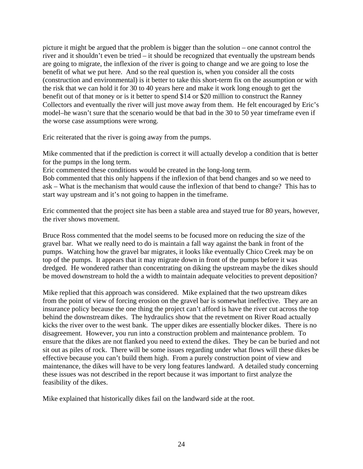picture it might be argued that the problem is bigger than the solution – one cannot control the river and it shouldn't even be tried – it should be recognized that eventually the upstream bends are going to migrate, the inflexion of the river is going to change and we are going to lose the benefit of what we put here. And so the real question is, when you consider all the costs (construction and environmental) is it better to take this short-term fix on the assumption or with the risk that we can hold it for 30 to 40 years here and make it work long enough to get the benefit out of that money or is it better to spend \$14 or \$20 million to construct the Ranney Collectors and eventually the river will just move away from them. He felt encouraged by Eric's model–he wasn't sure that the scenario would be that bad in the 30 to 50 year timeframe even if the worse case assumptions were wrong.

Eric reiterated that the river is going away from the pumps.

Mike commented that if the prediction is correct it will actually develop a condition that is better for the pumps in the long term.

Eric commented these conditions would be created in the long-long term.

Bob commented that this only happens if the inflexion of that bend changes and so we need to ask – What is the mechanism that would cause the inflexion of that bend to change? This has to start way upstream and it's not going to happen in the timeframe.

Eric commented that the project site has been a stable area and stayed true for 80 years, however, the river shows movement.

Bruce Ross commented that the model seems to be focused more on reducing the size of the gravel bar. What we really need to do is maintain a fall way against the bank in front of the pumps. Watching how the gravel bar migrates, it looks like eventually Chico Creek may be on top of the pumps. It appears that it may migrate down in front of the pumps before it was dredged. He wondered rather than concentrating on diking the upstream maybe the dikes should be moved downstream to hold the a width to maintain adequate velocities to prevent deposition?

Mike replied that this approach was considered. Mike explained that the two upstream dikes from the point of view of forcing erosion on the gravel bar is somewhat ineffective. They are an insurance policy because the one thing the project can't afford is have the river cut across the top behind the downstream dikes. The hydraulics show that the revetment on River Road actually kicks the river over to the west bank. The upper dikes are essentially blocker dikes. There is no disagreement. However, you run into a construction problem and maintenance problem. To ensure that the dikes are not flanked you need to extend the dikes. They be can be buried and not sit out as piles of rock. There will be some issues regarding under what flows will these dikes be effective because you can't build them high. From a purely construction point of view and maintenance, the dikes will have to be very long features landward. A detailed study concerning these issues was not described in the report because it was important to first analyze the feasibility of the dikes.

Mike explained that historically dikes fail on the landward side at the root.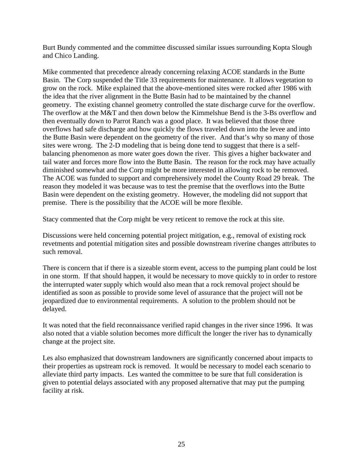Burt Bundy commented and the committee discussed similar issues surrounding Kopta Slough and Chico Landing.

Mike commented that precedence already concerning relaxing ACOE standards in the Butte Basin. The Corp suspended the Title 33 requirements for maintenance. It allows vegetation to grow on the rock. Mike explained that the above-mentioned sites were rocked after 1986 with the idea that the river alignment in the Butte Basin had to be maintained by the channel geometry. The existing channel geometry controlled the state discharge curve for the overflow. The overflow at the M&T and then down below the Kimmelshue Bend is the 3-Bs overflow and then eventually down to Parrot Ranch was a good place. It was believed that those three overflows had safe discharge and how quickly the flows traveled down into the levee and into the Butte Basin were dependent on the geometry of the river. And that's why so many of those sites were wrong. The 2-D modeling that is being done tend to suggest that there is a self balancing phenomenon as more water goes down the river. This gives a higher backwater and tail water and forces more flow into the Butte Basin. The reason for the rock may have actually diminished somewhat and the Corp might be more interested in allowing rock to be removed. The ACOE was funded to support and comprehensively model the County Road 29 break. The reason they modeled it was because was to test the premise that the overflows into the Butte Basin were dependent on the existing geometry. However, the modeling did not support that premise. There is the possibility that the ACOE will be more flexible.

Stacy commented that the Corp might be very reticent to remove the rock at this site.

Discussions were held concerning potential project mitigation, e.g., removal of existing rock revetments and potential mitigation sites and possible downstream riverine changes attributes to such removal.

There is concern that if there is a sizeable storm event, access to the pumping plant could be lost in one storm. If that should happen, it would be necessary to move quickly to in order to restore the interrupted water supply which would also mean that a rock removal project should be identified as soon as possible to provide some level of assurance that the project will not be jeopardized due to environmental requirements. A solution to the problem should not be delayed.

It was noted that the field reconnaissance verified rapid changes in the river since 1996. It was also noted that a viable solution becomes more difficult the longer the river has to dynamically change at the project site.

Les also emphasized that downstream landowners are significantly concerned about impacts to their properties as upstream rock is removed. It would be necessary to model each scenario to alleviate third party impacts. Les wanted the committee to be sure that full consideration is given to potential delays associated with any proposed alternative that may put the pumping facility at risk.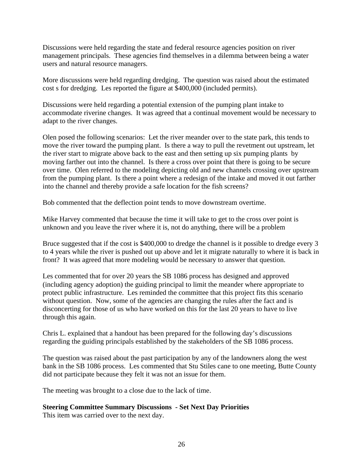Discussions were held regarding the state and federal resource agencies position on river management principals. These agencies find themselves in a dilemma between being a water users and natural resource managers.

More discussions were held regarding dredging. The question was raised about the estimated cost s for dredging. Les reported the figure at \$400,000 (included permits).

Discussions were held regarding a potential extension of the pumping plant intake to accommodate riverine changes. It was agreed that a continual movement would be necessary to adapt to the river changes.

Olen posed the following scenarios: Let the river meander over to the state park, this tends to move the river toward the pumping plant. Is there a way to pull the revetment out upstream, let the river start to migrate above back to the east and then setting up six pumping plants by moving farther out into the channel. Is there a cross over point that there is going to be secure over time. Olen referred to the modeling depicting old and new channels crossing over upstream from the pumping plant. Is there a point where a redesign of the intake and moved it out farther into the channel and thereby provide a safe location for the fish screens?

Bob commented that the deflection point tends to move downstream overtime.

Mike Harvey commented that because the time it will take to get to the cross over point is unknown and you leave the river where it is, not do anything, there will be a problem

Bruce suggested that if the cost is \$400,000 to dredge the channel is it possible to dredge every 3 to 4 years while the river is pushed out up above and let it migrate naturally to where it is back in front? It was agreed that more modeling would be necessary to answer that question.

Les commented that for over 20 years the SB 1086 process has designed and approved (including agency adoption) the guiding principal to limit the meander where appropriate to protect public infrastructure. Les reminded the committee that this project fits this scenario without question. Now, some of the agencies are changing the rules after the fact and is disconcerting for those of us who have worked on this for the last 20 years to have to live through this again.

Chris L. explained that a handout has been prepared for the following day's discussions regarding the guiding principals established by the stakeholders of the SB 1086 process.

The question was raised about the past participation by any of the landowners along the west bank in the SB 1086 process. Les commented that Stu Stiles cane to one meeting, Butte County did not participate because they felt it was not an issue for them.

The meeting was brought to a close due to the lack of time.

## **Steering Committee Summary Discussions - Set Next Day Priorities**

This item was carried over to the next day.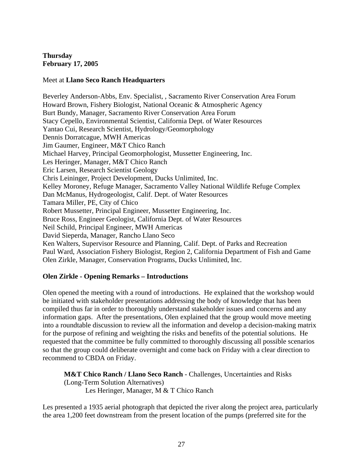# **Thursday February 17, 2005**

## Meet at **Llano Seco Ranch Headquarters**

Beverley Anderson-Abbs, Env. Specialist, , Sacramento River Conservation Area Forum Howard Brown, Fishery Biologist, National Oceanic & Atmospheric Agency Burt Bundy, Manager, Sacramento River Conservation Area Forum Stacy Cepello, Environmental Scientist, California Dept. of Water Resources Yantao Cui, Research Scientist, Hydrology/Geomorphology Dennis Dorratcague, MWH Americas Jim Gaumer, Engineer, M&T Chico Ranch Michael Harvey, Principal Geomorphologist, Mussetter Engineering, Inc. Les Heringer, Manager, M&T Chico Ranch Eric Larsen, Research Scientist Geology Chris Leininger, Project Development, Ducks Unlimited, Inc. Kelley Moroney, Refuge Manager, Sacramento Valley National Wildlife Refuge Complex Dan McManus, Hydrogeologist, Calif. Dept. of Water Resources Tamara Miller, PE, City of Chico Robert Mussetter, Principal Engineer, Mussetter Engineering, Inc. Bruce Ross, Engineer Geologist, California Dept. of Water Resources Neil Schild, Principal Engineer, MWH Americas David Sieperda, Manager, Rancho Llano Seco Ken Walters, Supervisor Resource and Planning, Calif. Dept. of Parks and Recreation Paul Ward, Association Fishery Biologist, Region 2, California Department of Fish and Game Olen Zirkle, Manager, Conservation Programs, Ducks Unlimited, Inc.

## **Olen Zirkle - Opening Remarks – Introductions**

Olen opened the meeting with a round of introductions. He explained that the workshop would be initiated with stakeholder presentations addressing the body of knowledge that has been compiled thus far in order to thoroughly understand stakeholder issues and concerns and any information gaps. After the presentations, Olen explained that the group would move meeting into a roundtable discussion to review all the information and develop a decision-making matrix for the purpose of refining and weighting the risks and benefits of the potential solutions. He requested that the committee be fully committed to thoroughly discussing all possible scenarios so that the group could deliberate overnight and come back on Friday with a clear direction to recommend to CBDA on Friday.

**M&T Chico Ranch / Llano Seco Ranch** - Challenges, Uncertainties and Risks (Long-Term Solution Alternatives)

Les Heringer, Manager, M & T Chico Ranch

Les presented a 1935 aerial photograph that depicted the river along the project area, particularly the area 1,200 feet downstream from the present location of the pumps (preferred site for the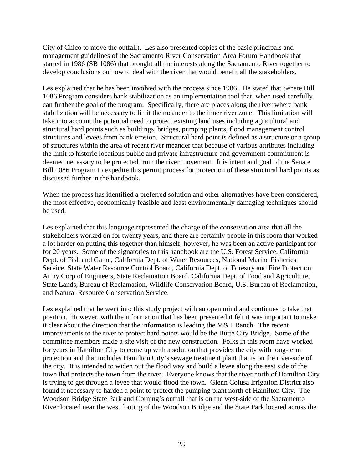City of Chico to move the outfall). Les also presented copies of the basic principals and management guidelines of the Sacramento River Conservation Area Forum Handbook that started in 1986 (SB 1086) that brought all the interests along the Sacramento River together to develop conclusions on how to deal with the river that would benefit all the stakeholders.

Les explained that he has been involved with the process since 1986. He stated that Senate Bill 1086 Program considers bank stabilization as an implementation tool that, when used carefully, can further the goal of the program. Specifically, there are places along the river where bank stabilization will be necessary to limit the meander to the inner river zone. This limitation will take into account the potential need to protect existing land uses including agricultural and structural hard points such as buildings, bridges, pumping plants, flood management control structures and levees from bank erosion. Structural hard point is defined as a structure or a group of structures within the area of recent river meander that because of various attributes including the limit to historic locations public and private infrastructure and government commitment is deemed necessary to be protected from the river movement. It is intent and goal of the Senate Bill 1086 Program to expedite this permit process for protection of these structural hard points as discussed further in the handbook.

When the process has identified a preferred solution and other alternatives have been considered, the most effective, economically feasible and least environmentally damaging techniques should be used.

Les explained that this language represented the charge of the conservation area that all the stakeholders worked on for twenty years, and there are certainly people in this room that worked a lot harder on putting this together than himself, however, he was been an active participant for for 20 years. Some of the signatories to this handbook are the U.S. Forest Service, California Dept. of Fish and Game, California Dept. of Water Resources, National Marine Fisheries Service, State Water Resource Control Board, California Dept. of Forestry and Fire Protection, Army Corp of Engineers, State Reclamation Board, California Dept. of Food and Agriculture, State Lands, Bureau of Reclamation, Wildlife Conservation Board, U.S. Bureau of Reclamation, and Natural Resource Conservation Service.

Les explained that he went into this study project with an open mind and continues to take that position. However, with the information that has been presented it felt it was important to make it clear about the direction that the information is leading the M&T Ranch. The recent improvements to the river to protect hard points would be the Butte City Bridge. Some of the committee members made a site visit of the new construction. Folks in this room have worked for years in Hamilton City to come up with a solution that provides the city with long-term protection and that includes Hamilton City's sewage treatment plant that is on the river-side of the city. It is intended to widen out the flood way and build a levee along the east side of the town that protects the town from the river. Everyone knows that the river north of Hamilton City is trying to get through a levee that would flood the town. Glenn Colusa Irrigation District also found it necessary to harden a point to protect the pumping plant north of Hamilton City. The Woodson Bridge State Park and Corning's outfall that is on the west-side of the Sacramento River located near the west footing of the Woodson Bridge and the State Park located across the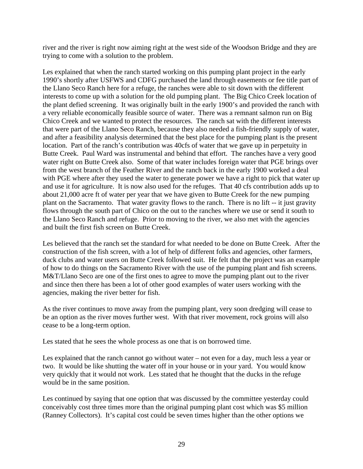river and the river is right now aiming right at the west side of the Woodson Bridge and they are trying to come with a solution to the problem.

Les explained that when the ranch started working on this pumping plant project in the early 1990's shortly after USFWS and CDFG purchased the land through easements or fee title part of the Llano Seco Ranch here for a refuge, the ranches were able to sit down with the different interests to come up with a solution for the old pumping plant. The Big Chico Creek location of the plant defied screening. It was originally built in the early 1900's and provided the ranch with a very reliable economically feasible source of water. There was a remnant salmon run on Big Chico Creek and we wanted to protect the resources. The ranch sat with the different interests that were part of the Llano Seco Ranch, because they also needed a fish-friendly supply of water, and after a feasibility analysis determined that the best place for the pumping plant is the present location. Part of the ranch's contribution was 40cfs of water that we gave up in perpetuity in Butte Creek. Paul Ward was instrumental and behind that effort. The ranches have a very good water right on Butte Creek also. Some of that water includes foreign water that PGE brings over from the west branch of the Feather River and the ranch back in the early 1900 worked a deal with PGE where after they used the water to generate power we have a right to pick that water up and use it for agriculture. It is now also used for the refuges. That 40 cfs contribution adds up to about 21,000 acre ft of water per year that we have given to Butte Creek for the new pumping plant on the Sacramento. That water gravity flows to the ranch. There is no lift -- it just gravity flows through the south part of Chico on the out to the ranches where we use or send it south to the Llano Seco Ranch and refuge. Prior to moving to the river, we also met with the agencies and built the first fish screen on Butte Creek.

Les believed that the ranch set the standard for what needed to be done on Butte Creek. After the construction of the fish screen, with a lot of help of different folks and agencies, other farmers, duck clubs and water users on Butte Creek followed suit. He felt that the project was an example of how to do things on the Sacramento River with the use of the pumping plant and fish screens. M&T/Llano Seco are one of the first ones to agree to move the pumping plant out to the river and since then there has been a lot of other good examples of water users working with the agencies, making the river better for fish.

As the river continues to move away from the pumping plant, very soon dredging will cease to be an option as the river moves further west. With that river movement, rock groins will also cease to be a long-term option.

Les stated that he sees the whole process as one that is on borrowed time.

Les explained that the ranch cannot go without water – not even for a day, much less a year or two. It would be like shutting the water off in your house or in your yard. You would know very quickly that it would not work. Les stated that he thought that the ducks in the refuge would be in the same position.

Les continued by saying that one option that was discussed by the committee yesterday could conceivably cost three times more than the original pumping plant cost which was \$5 million (Ranney Collectors). It's capital cost could be seven times higher than the other options we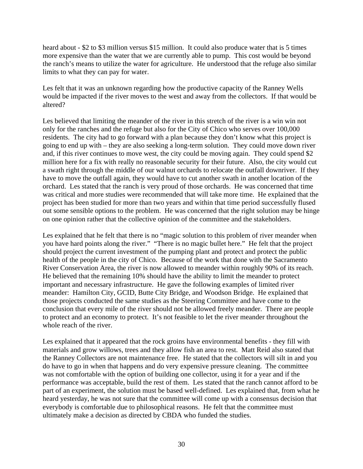heard about - \$2 to \$3 million versus \$15 million. It could also produce water that is 5 times more expensive than the water that we are currently able to pump. This cost would be beyond the ranch's means to utilize the water for agriculture. He understood that the refuge also similar limits to what they can pay for water.

Les felt that it was an unknown regarding how the productive capacity of the Ranney Wells would be impacted if the river moves to the west and away from the collectors. If that would be altered?

Les believed that limiting the meander of the river in this stretch of the river is a win win not only for the ranches and the refuge but also for the City of Chico who serves over 100,000 residents. The city had to go forward with a plan because they don't know what this project is going to end up with – they are also seeking a long-term solution. They could move down river and, if this river continues to move west, the city could be moving again. They could spend \$2 million here for a fix with really no reasonable security for their future. Also, the city would cut a swath right through the middle of our walnut orchards to relocate the outfall downriver. If they have to move the outfall again, they would have to cut another swath in another location of the orchard. Les stated that the ranch is very proud of those orchards. He was concerned that time was critical and more studies were recommended that will take more time. He explained that the project has been studied for more than two years and within that time period successfully flused out some sensible options to the problem. He was concerned that the right solution may be hinge on one opinion rather that the collective opinion of the committee and the stakeholders.

Les explained that he felt that there is no "magic solution to this problem of river meander when you have hard points along the river." "There is no magic bullet here." He felt that the project should project the current investment of the pumping plant and protect and protect the public health of the people in the city of Chico. Because of the work that done with the Sacramento River Conservation Area, the river is now allowed to meander within roughly 90% of its reach. He believed that the remaining 10% should have the ability to limit the meander to protect important and necessary infrastructure. He gave the following examples of limited river meander: Hamilton City, GCID, Butte City Bridge, and Woodson Bridge. He explained that those projects conducted the same studies as the Steering Committee and have come to the conclusion that every mile of the river should not be allowed freely meander. There are people to protect and an economy to protect. It's not feasible to let the river meander throughout the whole reach of the river.

Les explained that it appeared that the rock groins have environmental benefits - they fill with materials and grow willows, trees and they allow fish an area to rest. Matt Reid also stated that the Ranney Collectors are not maintenance free. He stated that the collectors will silt in and you do have to go in when that happens and do very expensive pressure cleaning. The committee was not comfortable with the option of building one collector, using it for a year and if the performance was acceptable, build the rest of them. Les stated that the ranch cannot afford to be part of an experiment, the solution must be based well-defined. Les explained that, from what he heard yesterday, he was not sure that the committee will come up with a consensus decision that everybody is comfortable due to philosophical reasons. He felt that the committee must ultimately make a decision as directed by CBDA who funded the studies.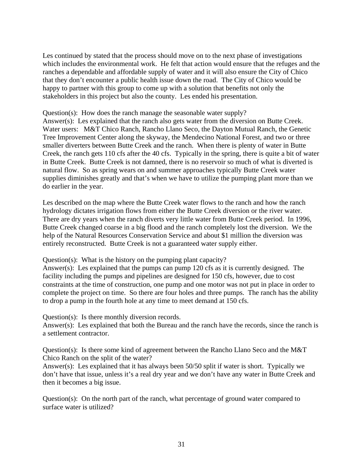Les continued by stated that the process should move on to the next phase of investigations which includes the environmental work. He felt that action would ensure that the refuges and the ranches a dependable and affordable supply of water and it will also ensure the City of Chico that they don't encounter a public health issue down the road. The City of Chico would be happy to partner with this group to come up with a solution that benefits not only the stakeholders in this project but also the county. Les ended his presentation.

#### Question(s): How does the ranch manage the seasonable water supply?

Answer(s): Les explained that the ranch also gets water from the diversion on Butte Creek. Water users: M&T Chico Ranch, Rancho Llano Seco, the Dayton Mutual Ranch, the Genetic Tree Improvement Center along the skyway, the Mendecino National Forest, and two or three smaller diverters between Butte Creek and the ranch. When there is plenty of water in Butte Creek, the ranch gets 110 cfs after the 40 cfs. Typically in the spring, there is quite a bit of water in Butte Creek. Butte Creek is not damned, there is no reservoir so much of what is diverted is natural flow. So as spring wears on and summer approaches typically Butte Creek water supplies diminishes greatly and that's when we have to utilize the pumping plant more than we do earlier in the year.

Les described on the map where the Butte Creek water flows to the ranch and how the ranch hydrology dictates irrigation flows from either the Butte Creek diversion or the river water. There are dry years when the ranch diverts very little water from Butte Creek period. In 1996, Butte Creek changed coarse in a big flood and the ranch completely lost the diversion. We the help of the Natural Resources Conservation Service and about \$1 million the diversion was entirely reconstructed. Butte Creek is not a guaranteed water supply either.

Question(s): What is the history on the pumping plant capacity?

Answer(s): Les explained that the pumps can pump 120 cfs as it is currently designed. The facility including the pumps and pipelines are designed for 150 cfs, however, due to cost constraints at the time of construction, one pump and one motor was not put in place in order to complete the project on time. So there are four holes and three pumps. The ranch has the ability to drop a pump in the fourth hole at any time to meet demand at 150 cfs.

#### Question(s): Is there monthly diversion records.

Answer(s): Les explained that both the Bureau and the ranch have the records, since the ranch is a settlement contractor.

Question(s): Is there some kind of agreement between the Rancho Llano Seco and the M&T Chico Ranch on the split of the water?

Answer(s): Les explained that it has always been 50/50 split if water is short. Typically we don't have that issue, unless it's a real dry year and we don't have any water in Butte Creek and then it becomes a big issue.

Question(s): On the north part of the ranch, what percentage of ground water compared to surface water is utilized?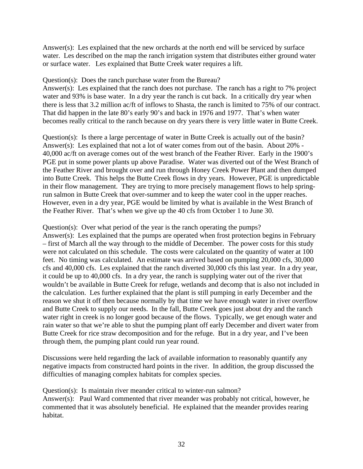Answer(s): Les explained that the new orchards at the north end will be serviced by surface water. Les described on the map the ranch irrigation system that distributes either ground water or surface water. Les explained that Butte Creek water requires a lift.

#### Question(s): Does the ranch purchase water from the Bureau?

Answer(s): Les explained that the ranch does not purchase. The ranch has a right to 7% project water and 93% is base water. In a dry year the ranch is cut back. In a critically dry year when there is less that 3.2 million ac/ft of inflows to Shasta, the ranch is limited to 75% of our contract. That did happen in the late 80's early 90's and back in 1976 and 1977. That's when water becomes really critical to the ranch because on dry years there is very little water in Butte Creek.

Question(s): Is there a large percentage of water in Butte Creek is actually out of the basin? Answer(s): Les explained that not a lot of water comes from out of the basin. About 20% - 40,000 ac/ft on average comes out of the west branch of the Feather River. Early in the 1900's PGE put in some power plants up above Paradise. Water was diverted out of the West Branch of the Feather River and brought over and run through Honey Creek Power Plant and then dumped into Butte Creek. This helps the Butte Creek flows in dry years. However, PGE is unpredictable in their flow management. They are trying to more precisely management flows to help springrun salmon in Butte Creek that over-summer and to keep the water cool in the upper reaches. However, even in a dry year, PGE would be limited by what is available in the West Branch of the Feather River. That's when we give up the 40 cfs from October 1 to June 30.

Question(s): Over what period of the year is the ranch operating the pumps?

Answer(s): Les explained that the pumps are operated when frost protection begins in February – first of March all the way through to the middle of December. The power costs for this study were not calculated on this schedule. The costs were calculated on the quantity of water at 100 feet. No timing was calculated. An estimate was arrived based on pumping 20,000 cfs, 30,000 cfs and 40,000 cfs. Les explained that the ranch diverted 30,000 cfs this last year. In a dry year, it could be up to 40,000 cfs. In a dry year, the ranch is supplying water out of the river that wouldn't be available in Butte Creek for refuge, wetlands and decomp that is also not included in the calculation. Les further explained that the plant is still pumping in early December and the reason we shut it off then because normally by that time we have enough water in river overflow and Butte Creek to supply our needs. In the fall, Butte Creek goes just about dry and the ranch water right in creek is no longer good because of the flows. Typically, we get enough water and rain water so that we're able to shut the pumping plant off early December and divert water from Butte Creek for rice straw decomposition and for the refuge. But in a dry year, and I've been through them, the pumping plant could run year round.

Discussions were held regarding the lack of available information to reasonably quantify any negative impacts from constructed hard points in the river. In addition, the group discussed the difficulties of managing complex habitats for complex species.

Question(s): Is maintain river meander critical to winter-run salmon? Answer(s): Paul Ward commented that river meander was probably not critical, however, he commented that it was absolutely beneficial. He explained that the meander provides rearing habitat.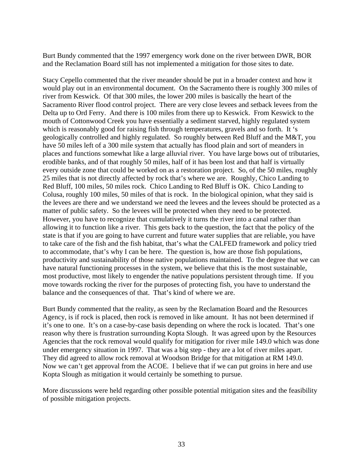Burt Bundy commented that the 1997 emergency work done on the river between DWR, BOR and the Reclamation Board still has not implemented a mitigation for those sites to date.

Stacy Cepello commented that the river meander should be put in a broader context and how it would play out in an environmental document. On the Sacramento there is roughly 300 miles of river from Keswick. Of that 300 miles, the lower 200 miles is basically the heart of the Sacramento River flood control project. There are very close levees and setback levees from the Delta up to Ord Ferry. And there is 100 miles from there up to Keswick. From Keswick to the mouth of Cottonwood Creek you have essentially a sediment starved, highly regulated system which is reasonably good for raising fish through temperatures, gravels and so forth. It 's geologically controlled and highly regulated. So roughly between Red Bluff and the M&T, you have 50 miles left of a 300 mile system that actually has flood plain and sort of meanders in places and functions somewhat like a large alluvial river. You have large bows out of tributaries, erodible banks, and of that roughly 50 miles, half of it has been lost and that half is virtually every outside zone that could be worked on as a restoration project. So, of the 50 miles, roughly 25 miles that is not directly affected by rock that's where we are. Roughly, Chico Landing to Red Bluff, 100 miles, 50 miles rock. Chico Landing to Red Bluff is OK. Chico Landing to Colusa, roughly 100 miles, 50 miles of that is rock. In the biological opinion, what they said is the levees are there and we understand we need the levees and the levees should be protected as a matter of public safety. So the levees will be protected when they need to be protected. However, you have to recognize that cumulatively it turns the river into a canal rather than allowing it to function like a river. This gets back to the question, the fact that the policy of the state is that if you are going to have current and future water supplies that are reliable, you have to take care of the fish and the fish habitat, that's what the CALFED framework and policy tried to accommodate, that's why I can be here. The question is, how are those fish populations, productivity and sustainability of those native populations maintained. To the degree that we can have natural functioning processes in the system, we believe that this is the most sustainable, most productive, most likely to engender the native populations persistent through time. If you move towards rocking the river for the purposes of protecting fish, you have to understand the balance and the consequences of that. That's kind of where we are.

Burt Bundy commented that the reality, as seen by the Reclamation Board and the Resources Agency, is if rock is placed, then rock is removed in like amount. It has not been determined if it's one to one. It's on a case-by-case basis depending on where the rock is located. That's one reason why there is frustration surrounding Kopta Slough. It was agreed upon by the Resources Agencies that the rock removal would qualify for mitigation for river mile 149.0 which was done under emergency situation in 1997. That was a big step - they are a lot of river miles apart. They did agreed to allow rock removal at Woodson Bridge for that mitigation at RM 149.0. Now we can't get approval from the ACOE. I believe that if we can put groins in here and use Kopta Slough as mitigation it would certainly be something to pursue.

More discussions were held regarding other possible potential mitigation sites and the feasibility of possible mitigation projects.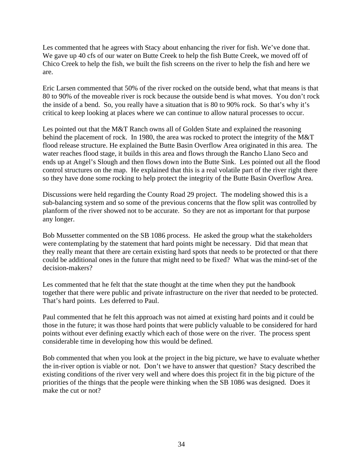Les commented that he agrees with Stacy about enhancing the river for fish. We've done that. We gave up 40 cfs of our water on Butte Creek to help the fish Butte Creek, we moved off of Chico Creek to help the fish, we built the fish screens on the river to help the fish and here we are.

Eric Larsen commented that 50% of the river rocked on the outside bend, what that means is that 80 to 90% of the moveable river is rock because the outside bend is what moves. You don't rock the inside of a bend. So, you really have a situation that is 80 to 90% rock. So that's why it's critical to keep looking at places where we can continue to allow natural processes to occur.

Les pointed out that the M&T Ranch owns all of Golden State and explained the reasoning behind the placement of rock. In 1980, the area was rocked to protect the integrity of the M&T flood release structure. He explained the Butte Basin Overflow Area originated in this area. The water reaches flood stage, it builds in this area and flows through the Rancho Llano Seco and ends up at Angel's Slough and then flows down into the Butte Sink. Les pointed out all the flood control structures on the map. He explained that this is a real volatile part of the river right there so they have done some rocking to help protect the integrity of the Butte Basin Overflow Area.

Discussions were held regarding the County Road 29 project. The modeling showed this is a sub-balancing system and so some of the previous concerns that the flow split was controlled by planform of the river showed not to be accurate. So they are not as important for that purpose any longer.

Bob Mussetter commented on the SB 1086 process. He asked the group what the stakeholders were contemplating by the statement that hard points might be necessary. Did that mean that they really meant that there are certain existing hard spots that needs to be protected or that there could be additional ones in the future that might need to be fixed? What was the mind-set of the decision-makers?

Les commented that he felt that the state thought at the time when they put the handbook together that there were public and private infrastructure on the river that needed to be protected. That's hard points. Les deferred to Paul.

Paul commented that he felt this approach was not aimed at existing hard points and it could be those in the future; it was those hard points that were publicly valuable to be considered for hard points without ever defining exactly which each of those were on the river. The process spent considerable time in developing how this would be defined.

Bob commented that when you look at the project in the big picture, we have to evaluate whether the in-river option is viable or not. Don't we have to answer that question? Stacy described the existing conditions of the river very well and where does this project fit in the big picture of the priorities of the things that the people were thinking when the SB 1086 was designed. Does it make the cut or not?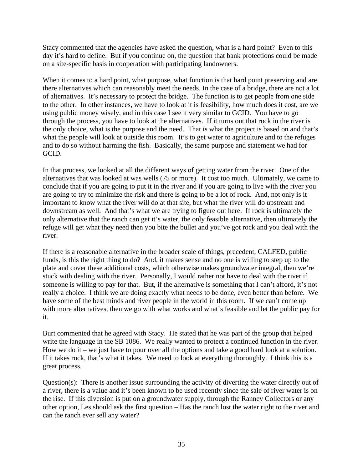Stacy commented that the agencies have asked the question, what is a hard point? Even to this day it's hard to define. But if you continue on, the question that bank protections could be made on a site-specific basis in cooperation with participating landowners.

When it comes to a hard point, what purpose, what function is that hard point preserving and are there alternatives which can reasonably meet the needs. In the case of a bridge, there are not a lot of alternatives. It's necessary to protect the bridge. The function is to get people from one side to the other. In other instances, we have to look at it is feasibility, how much does it cost, are we using public money wisely, and in this case I see it very similar to GCID. You have to go through the process, you have to look at the alternatives. If it turns out that rock in the river is the only choice, what is the purpose and the need. That is what the project is based on and that's what the people will look at outside this room. It's to get water to agriculture and to the refuges and to do so without harming the fish. Basically, the same purpose and statement we had for GCID.

In that process, we looked at all the different ways of getting water from the river. One of the alternatives that was looked at was wells (75 or more). It cost too much. Ultimately, we came to conclude that if you are going to put it in the river and if you are going to live with the river you are going to try to minimize the risk and there is going to be a lot of rock. And, not only is it important to know what the river will do at that site, but what the river will do upstream and downstream as well. And that's what we are trying to figure out here. If rock is ultimately the only alternative that the ranch can get it's water, the only feasible alternative, then ultimately the refuge will get what they need then you bite the bullet and you've got rock and you deal with the river.

If there is a reasonable alternative in the broader scale of things, precedent, CALFED, public funds, is this the right thing to do? And, it makes sense and no one is willing to step up to the plate and cover these additional costs, which otherwise makes groundwater integral, then we're stuck with dealing with the river. Personally, I would rather not have to deal with the river if someone is willing to pay for that. But, if the alternative is something that I can't afford, it's not really a choice. I think we are doing exactly what needs to be done, even better than before. We have some of the best minds and river people in the world in this room. If we can't come up with more alternatives, then we go with what works and what's feasible and let the public pay for it.

Burt commented that he agreed with Stacy. He stated that he was part of the group that helped write the language in the SB 1086. We really wanted to protect a continued function in the river. How we do it – we just have to pour over all the options and take a good hard look at a solution. If it takes rock, that's what it takes. We need to look at everything thoroughly. I think this is a great process.

Question(s): There is another issue surrounding the activity of diverting the water directly out of a river, there is a value and it's been known to be used recently since the sale of river water is on the rise. If this diversion is put on a groundwater supply, through the Ranney Collectors or any other option, Les should ask the first question – Has the ranch lost the water right to the river and can the ranch ever sell any water?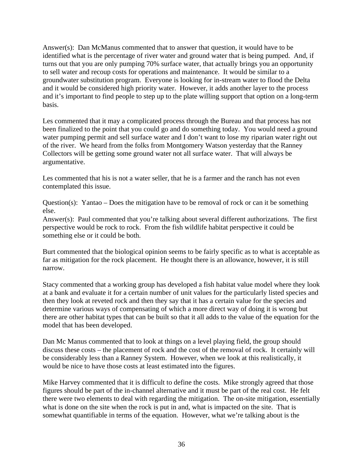Answer(s): Dan McManus commented that to answer that question, it would have to be identified what is the percentage of river water and ground water that is being pumped. And, if turns out that you are only pumping 70% surface water, that actually brings you an opportunity to sell water and recoup costs for operations and maintenance. It would be similar to a groundwater substitution program. Everyone is looking for in-stream water to flood the Delta and it would be considered high priority water. However, it adds another layer to the process and it's important to find people to step up to the plate willing support that option on a long-term basis.

Les commented that it may a complicated process through the Bureau and that process has not been finalized to the point that you could go and do something today. You would need a ground water pumping permit and sell surface water and I don't want to lose my riparian water right out of the river. We heard from the folks from Montgomery Watson yesterday that the Ranney Collectors will be getting some ground water not all surface water. That will always be argumentative.

Les commented that his is not a water seller, that he is a farmer and the ranch has not even contemplated this issue.

Question(s): Yantao – Does the mitigation have to be removal of rock or can it be something else.

Answer(s): Paul commented that you're talking about several different authorizations. The first perspective would be rock to rock. From the fish wildlife habitat perspective it could be something else or it could be both.

Burt commented that the biological opinion seems to be fairly specific as to what is acceptable as far as mitigation for the rock placement. He thought there is an allowance, however, it is still narrow.

Stacy commented that a working group has developed a fish habitat value model where they look at a bank and evaluate it for a certain number of unit values for the particularly listed species and then they look at reveted rock and then they say that it has a certain value for the species and determine various ways of compensating of which a more direct way of doing it is wrong but there are other habitat types that can be built so that it all adds to the value of the equation for the model that has been developed.

Dan Mc Manus commented that to look at things on a level playing field, the group should discuss these costs – the placement of rock and the cost of the removal of rock. It certainly will be considerably less than a Ranney System. However, when we look at this realistically, it would be nice to have those costs at least estimated into the figures.

Mike Harvey commented that it is difficult to define the costs. Mike strongly agreed that those figures should be part of the in-channel alternative and it must be part of the real cost. He felt there were two elements to deal with regarding the mitigation. The on-site mitigation, essentially what is done on the site when the rock is put in and, what is impacted on the site. That is somewhat quantifiable in terms of the equation. However, what we're talking about is the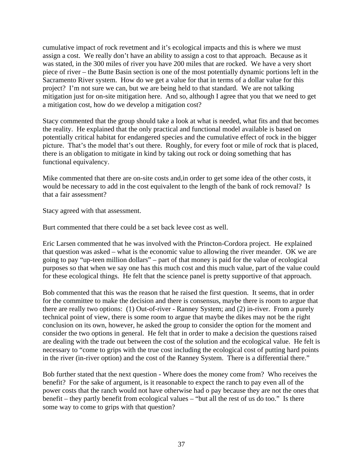cumulative impact of rock revetment and it's ecological impacts and this is where we must assign a cost. We really don't have an ability to assign a cost to that approach. Because as it was stated, in the 300 miles of river you have 200 miles that are rocked. We have a very short piece of river – the Butte Basin section is one of the most potentially dynamic portions left in the Sacramento River system. How do we get a value for that in terms of a dollar value for this project? I'm not sure we can, but we are being held to that standard. We are not talking mitigation just for on-site mitigation here. And so, although I agree that you that we need to get a mitigation cost, how do we develop a mitigation cost?

Stacy commented that the group should take a look at what is needed, what fits and that becomes the reality. He explained that the only practical and functional model available is based on potentially critical habitat for endangered species and the cumulative effect of rock in the bigger picture. That's the model that's out there. Roughly, for every foot or mile of rock that is placed, there is an obligation to mitigate in kind by taking out rock or doing something that has functional equivalency.

Mike commented that there are on-site costs and,in order to get some idea of the other costs, it would be necessary to add in the cost equivalent to the length of the bank of rock removal? Is that a fair assessment?

Stacy agreed with that assessment.

Burt commented that there could be a set back levee cost as well.

Eric Larsen commented that he was involved with the Princton-Cordora project. He explained that question was asked – what is the economic value to allowing the river meander. OK we are going to pay "up-teen million dollars" – part of that money is paid for the value of ecological purposes so that when we say one has this much cost and this much value, part of the value could for these ecological things. He felt that the science panel is pretty supportive of that approach.

Bob commented that this was the reason that he raised the first question. It seems, that in order for the committee to make the decision and there is consensus, maybe there is room to argue that there are really two options: (1) Out-of-river - Ranney System; and (2) in-river. From a purely technical point of view, there is some room to argue that maybe the dikes may not be the right conclusion on its own, however, he asked the group to consider the option for the moment and consider the two options in general. He felt that in order to make a decision the questions raised are dealing with the trade out between the cost of the solution and the ecological value. He felt is necessary to "come to grips with the true cost including the ecological cost of putting hard points in the river (in-river option) and the cost of the Ranney System. There is a differential there."

Bob further stated that the next question - Where does the money come from? Who receives the benefit? For the sake of argument, is it reasonable to expect the ranch to pay even all of the power costs that the ranch would not have otherwise had o pay because they are not the ones that benefit – they partly benefit from ecological values – "but all the rest of us do too." Is there some way to come to grips with that question?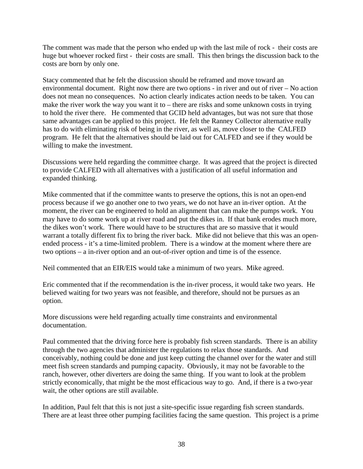The comment was made that the person who ended up with the last mile of rock - their costs are huge but whoever rocked first - their costs are small. This then brings the discussion back to the costs are born by only one.

Stacy commented that he felt the discussion should be reframed and move toward an environmental document. Right now there are two options - in river and out of river – No action does not mean no consequences. No action clearly indicates action needs to be taken. You can make the river work the way you want it to – there are risks and some unknown costs in trying to hold the river there. He commented that GCID held advantages, but was not sure that those same advantages can be applied to this project. He felt the Ranney Collector alternative really has to do with eliminating risk of being in the river, as well as, move closer to the CALFED program. He felt that the alternatives should be laid out for CALFED and see if they would be willing to make the investment.

Discussions were held regarding the committee charge. It was agreed that the project is directed to provide CALFED with all alternatives with a justification of all useful information and expanded thinking.

Mike commented that if the committee wants to preserve the options, this is not an open-end process because if we go another one to two years, we do not have an in-river option. At the moment, the river can be engineered to hold an alignment that can make the pumps work. You may have to do some work up at river road and put the dikes in. If that bank erodes much more, the dikes won't work. There would have to be structures that are so massive that it would warrant a totally different fix to bring the river back. Mike did not believe that this was an open ended process - it's a time-limited problem. There is a window at the moment where there are two options – a in-river option and an out-of-river option and time is of the essence.

Neil commented that an EIR/EIS would take a minimum of two years. Mike agreed.

Eric commented that if the recommendation is the in-river process, it would take two years. He believed waiting for two years was not feasible, and therefore, should not be pursues as an option.

More discussions were held regarding actually time constraints and environmental documentation.

Paul commented that the driving force here is probably fish screen standards. There is an ability through the two agencies that administer the regulations to relax those standards. And conceivably, nothing could be done and just keep cutting the channel over for the water and still meet fish screen standards and pumping capacity. Obviously, it may not be favorable to the ranch, however, other diverters are doing the same thing. If you want to look at the problem strictly economically, that might be the most efficacious way to go. And, if there is a two-year wait, the other options are still available.

In addition, Paul felt that this is not just a site-specific issue regarding fish screen standards. There are at least three other pumping facilities facing the same question. This project is a prime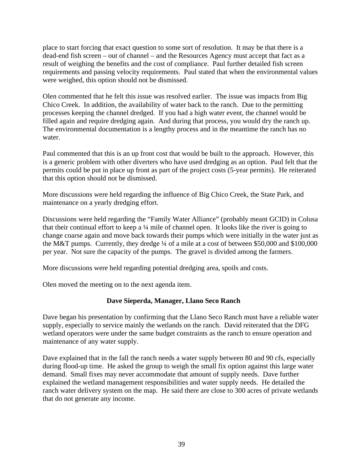place to start forcing that exact question to some sort of resolution. It may be that there is a dead-end fish screen – out of channel – and the Resources Agency must accept that fact as a result of weighing the benefits and the cost of compliance. Paul further detailed fish screen requirements and passing velocity requirements. Paul stated that when the environmental values were weighed, this option should not be dismissed.

Olen commented that he felt this issue was resolved earlier. The issue was impacts from Big Chico Creek. In addition, the availability of water back to the ranch. Due to the permitting processes keeping the channel dredged. If you had a high water event, the channel would be filled again and require dredging again. And during that process, you would dry the ranch up. The environmental documentation is a lengthy process and in the meantime the ranch has no water.

Paul commented that this is an up front cost that would be built to the approach. However, this is a generic problem with other diverters who have used dredging as an option. Paul felt that the permits could be put in place up front as part of the project costs (5-year permits). He reiterated that this option should not be dismissed.

More discussions were held regarding the influence of Big Chico Creek, the State Park, and maintenance on a yearly dredging effort.

Discussions were held regarding the "Family Water Alliance" (probably meant GCID) in Colusa that their continual effort to keep a ¼ mile of channel open. It looks like the river is going to change coarse again and move back towards their pumps which were initially in the water just as the M&T pumps. Currently, they dredge ¼ of a mile at a cost of between \$50,000 and \$100,000 per year. Not sure the capacity of the pumps. The gravel is divided among the farmers.

More discussions were held regarding potential dredging area, spoils and costs.

Olen moved the meeting on to the next agenda item.

### **Dave Sieperda, Manager, Llano Seco Ranch**

Dave began his presentation by confirming that the Llano Seco Ranch must have a reliable water supply, especially to service mainly the wetlands on the ranch. David reiterated that the DFG wetland operators were under the same budget constraints as the ranch to ensure operation and maintenance of any water supply.

Dave explained that in the fall the ranch needs a water supply between 80 and 90 cfs, especially during flood-up time. He asked the group to weigh the small fix option against this large water demand. Small fixes may never accommodate that amount of supply needs. Dave further explained the wetland management responsibilities and water supply needs. He detailed the ranch water delivery system on the map. He said there are close to 300 acres of private wetlands that do not generate any income.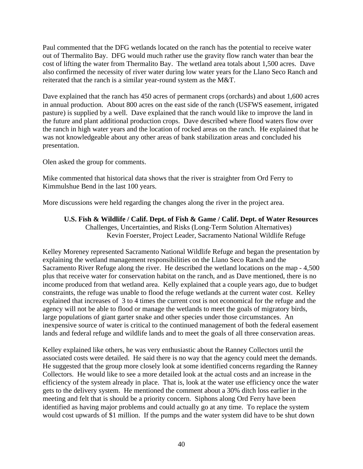Paul commented that the DFG wetlands located on the ranch has the potential to receive water out of Thermalito Bay. DFG would much rather use the gravity flow ranch water than bear the cost of lifting the water from Thermalito Bay. The wetland area totals about 1,500 acres. Dave also confirmed the necessity of river water during low water years for the Llano Seco Ranch and reiterated that the ranch is a similar year-round system as the M&T.

Dave explained that the ranch has 450 acres of permanent crops (orchards) and about 1,600 acres in annual production. About 800 acres on the east side of the ranch (USFWS easement, irrigated pasture) is supplied by a well. Dave explained that the ranch would like to improve the land in the future and plant additional production crops. Dave described where flood waters flow over the ranch in high water years and the location of rocked areas on the ranch. He explained that he was not knowledgeable about any other areas of bank stabilization areas and concluded his presentation.

Olen asked the group for comments.

Mike commented that historical data shows that the river is straighter from Ord Ferry to Kimmulshue Bend in the last 100 years.

More discussions were held regarding the changes along the river in the project area.

### **U.S. Fish & Wildlife / Calif. Dept. of Fish & Game / Calif. Dept. of Water Resources** Challenges, Uncertainties, and Risks (Long-Term Solution Alternatives) Kevin Foerster, Project Leader, Sacramento National Wildlife Refuge

Kelley Moreney represented Sacramento National Wildlife Refuge and began the presentation by explaining the wetland management responsibilities on the Llano Seco Ranch and the Sacramento River Refuge along the river. He described the wetland locations on the map - 4,500 plus that receive water for conservation habitat on the ranch, and as Dave mentioned, there is no income produced from that wetland area. Kelly explained that a couple years ago, due to budget constraints, the refuge was unable to flood the refuge wetlands at the current water cost. Kelley explained that increases of 3 to 4 times the current cost is not economical for the refuge and the agency will not be able to flood or manage the wetlands to meet the goals of migratory birds, large populations of giant garter snake and other species under those circumstances. An inexpensive source of water is critical to the continued management of both the federal easement lands and federal refuge and wildlife lands and to meet the goals of all three conservation areas.

Kelley explained like others, he was very enthusiastic about the Ranney Collectors until the associated costs were detailed. He said there is no way that the agency could meet the demands. He suggested that the group more closely look at some identified concerns regarding the Ranney Collectors. He would like to see a more detailed look at the actual costs and an increase in the efficiency of the system already in place. That is, look at the water use efficiency once the water gets to the delivery system. He mentioned the comment about a 30% ditch loss earlier in the meeting and felt that is should be a priority concern. Siphons along Ord Ferry have been identified as having major problems and could actually go at any time. To replace the system would cost upwards of \$1 million. If the pumps and the water system did have to be shut down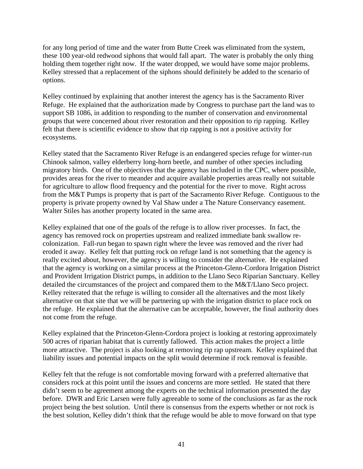for any long period of time and the water from Butte Creek was eliminated from the system, these 100 year-old redwood siphons that would fall apart. The water is probably the only thing holding them together right now. If the water dropped, we would have some major problems. Kelley stressed that a replacement of the siphons should definitely be added to the scenario of options.

Kelley continued by explaining that another interest the agency has is the Sacramento River Refuge. He explained that the authorization made by Congress to purchase part the land was to support SB 1086, in addition to responding to the number of conservation and environmental groups that were concerned about river restoration and their opposition to rip rapping. Kelley felt that there is scientific evidence to show that rip rapping is not a positive activity for ecosystems.

Kelley stated that the Sacramento River Refuge is an endangered species refuge for winter-run Chinook salmon, valley elderberry long-horn beetle, and number of other species including migratory birds. One of the objectives that the agency has included in the CPC, where possible, provides areas for the river to meander and acquire available properties areas really not suitable for agriculture to allow flood frequency and the potential for the river to move. Right across from the M&T Pumps is property that is part of the Sacramento River Refuge. Contiguous to the property is private property owned by Val Shaw under a The Nature Conservancy easement. Walter Stiles has another property located in the same area.

Kelley explained that one of the goals of the refuge is to allow river processes. In fact, the agency has removed rock on properties upstream and realized immediate bank swallow re colonization. Fall-run began to spawn right where the levee was removed and the river had eroded it away. Kelley felt that putting rock on refuge land is not something that the agency is really excited about, however, the agency is willing to consider the alternative. He explained that the agency is working on a similar process at the Princeton-Glenn-Cordora Irrigation District and Provident Irrigation District pumps, in addition to the Llano Seco Riparian Sanctuary. Kelley detailed the circumstances of the project and compared them to the M&T/Llano Seco project. Kelley reiterated that the refuge is willing to consider all the alternatives and the most likely alternative on that site that we will be partnering up with the irrigation district to place rock on the refuge. He explained that the alternative can be acceptable, however, the final authority does not come from the refuge.

Kelley explained that the Princeton-Glenn-Cordora project is looking at restoring approximately 500 acres of riparian habitat that is currently fallowed. This action makes the project a little more attractive. The project is also looking at removing rip rap upstream. Kelley explained that liability issues and potential impacts on the split would determine if rock removal is feasible.

Kelley felt that the refuge is not comfortable moving forward with a preferred alternative that considers rock at this point until the issues and concerns are more settled. He stated that there didn't seem to be agreement among the experts on the technical information presented the day before. DWR and Eric Larsen were fully agreeable to some of the conclusions as far as the rock project being the best solution. Until there is consensus from the experts whether or not rock is the best solution, Kelley didn't think that the refuge would be able to move forward on that type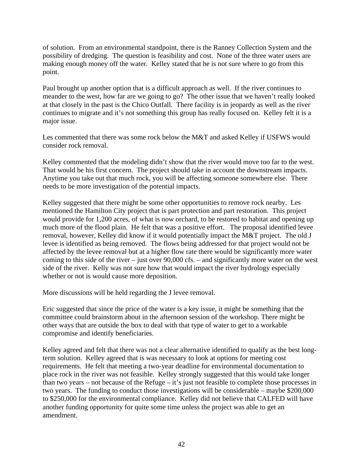of solution. From an environmental standpoint, there is the Ranney Collection System and the possibility of dredging. The question is feasibility and cost. None of the three water users are making enough money off the water. Kelley stated that he is not sure where to go from this point.

Paul brought up another option that is a difficult approach as well. If the river continues to meander to the west, how far are we going to go? The other issue that we haven't really looked at that closely in the past is the Chico Outfall. There facility is in jeopardy as well as the river continues to migrate and it's not something this group has really focused on. Kelley felt it is a major issue.

Les commented that there was some rock below the M&T and asked Kelley if USFWS would consider rock removal.

Kelley commented that the modeling didn't show that the river would move too far to the west. That would be his first concern. The project should take in account the downstream impacts. Anytime you take out that much rock, you will be affecting someone somewhere else. There needs to be more investigation of the potential impacts.

Kelley suggested that there might be some other opportunities to remove rock nearby. Les mentioned the Hamilton City project that is part protection and part restoration. This project would provide for 1,200 acres, of what is now orchard, to be restored to habitat and opening up much more of the flood plain. He felt that was a positive effort. The proposal identified levee removal, however, Kelley did know if it would potentially impact the M&T project. The old J levee is identified as being removed. The flows being addressed for that project would not be affected by the levee removal but at a higher flow rate there would be significantly more water coming to this side of the river – just over 90,000 cfs. – and significantly more water on the west side of the river. Kelly was not sure how that would impact the river hydrology especially whether or not is would cause more deposition.

More discussions will be held regarding the J levee removal.

Eric suggested that since the price of the water is a key issue, it might be something that the committee could brainstorm about in the afternoon session of the workshop. There might be other ways that are outside the box to deal with that type of water to get to a workable compromise and identify beneficiaries.

Kelley agreed and felt that there was not a clear alternative identified to qualify as the best longterm solution. Kelley agreed that is was necessary to look at options for meeting cost requirements. He felt that meeting a two-year deadline for environmental documentation to place rock in the river was not feasible. Kelley strongly suggested that this would take longer than two years – not because of the Refuge – it's just not feasible to complete those processes in two years. The funding to conduct those investigations will be considerable – maybe \$200,000 to \$250,000 for the environmental compliance. Kelley did not believe that CALFED will have another funding opportunity for quite some time unless the project was able to get an amendment.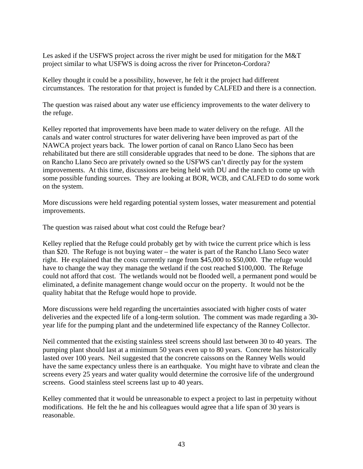Les asked if the USFWS project across the river might be used for mitigation for the M&T project similar to what USFWS is doing across the river for Princeton-Cordora?

Kelley thought it could be a possibility, however, he felt it the project had different circumstances. The restoration for that project is funded by CALFED and there is a connection.

The question was raised about any water use efficiency improvements to the water delivery to the refuge. The refuge of the state of the state of the state of the state of the state of the state of the state of the state of the state of the state of the state of the state of the state of the state of the state of t

Kelley reported that improvements have been made to water delivery on the refuge. All the canals and water control structures for water delivering have been improved as part of the NAWCA project years back. The lower portion of canal on Ranco Llano Seco has been rehabilitated but there are still considerable upgrades that need to be done. The siphons that are on Rancho Llano Seco are privately owned so the USFWS can't directly pay for the system improvements. At this time, discussions are being held with DU and the ranch to come up with some possible funding sources. They are looking at BOR, WCB, and CALFED to do some work on the system.

More discussions were held regarding potential system losses, water measurement and potential improvements.

The question was raised about what cost could the Refuge bear?

Kelley replied that the Refuge could probably get by with twice the current price which is less than \$20. The Refuge is not buying water – the water is part of the Rancho Llano Seco water right. He explained that the costs currently range from \$45,000 to \$50,000. The refuge would have to change the way they manage the wetland if the cost reached \$100,000. The Refuge could not afford that cost. The wetlands would not be flooded well, a permanent pond would be eliminated, a definite management change would occur on the property. It would not be the quality habitat that the Refuge would hope to provide.

More discussions were held regarding the uncertainties associated with higher costs of water deliveries and the expected life of a long-term solution. The comment was made regarding a 30 year life for the pumping plant and the undetermined life expectancy of the Ranney Collector.

Neil commented that the existing stainless steel screens should last between 30 to 40 years. The pumping plant should last at a minimum 50 years even up to 80 years. Concrete has historically lasted over 100 years. Neil suggested that the concrete caissons on the Ranney Wells would have the same expectancy unless there is an earthquake. You might have to vibrate and clean the screens every 25 years and water quality would determine the corrosive life of the underground screens. Good stainless steel screens last up to 40 years.

Kelley commented that it would be unreasonable to expect a project to last in perpetuity without modifications. He felt the he and his colleagues would agree that a life span of 30 years is reasonable.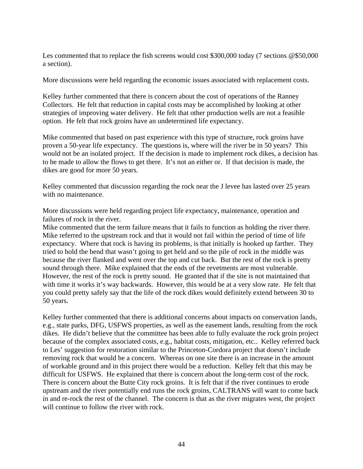Les commented that to replace the fish screens would cost \$300,000 today (7 sections @\$50,000 a section).

More discussions were held regarding the economic issues associated with replacement costs.

Kelley further commented that there is concern about the cost of operations of the Ranney Collectors. He felt that reduction in capital costs may be accomplished by looking at other strategies of improving water delivery. He felt that other production wells are not a feasible option. He felt that rock groins have an undetermined life expectancy.

Mike commented that based on past experience with this type of structure, rock groins have proven a 50-year life expectancy. The questions is, where will the river be in 50 years? This would not be an isolated project. If the decision is made to implement rock dikes, a decision has to be made to allow the flows to get there. It's not an either or. If that decision is made, the dikes are good for more 50 years.

Kelley commented that discussion regarding the rock near the J levee has lasted over 25 years with no maintenance.

More discussions were held regarding project life expectancy, maintenance, operation and failures of rock in the river.

Mike commented that the term failure means that it fails to function as holding the river there. Mike referred to the upstream rock and that it would not fail within the period of time of life expectancy. Where that rock is having its problems, is that initially is hooked up farther. They tried to hold the bend that wasn't going to get held and so the pile of rock in the middle was because the river flanked and went over the top and cut back. But the rest of the rock is pretty sound through there. Mike explained that the ends of the revetments are most vulnerable. However, the rest of the rock is pretty sound. He granted that if the site is not maintained that with time it works it's way backwards. However, this would be at a very slow rate. He felt that you could pretty safely say that the life of the rock dikes would definitely extend between 30 to 50 years.

Kelley further commented that there is additional concerns about impacts on conservation lands, e.g., state parks, DFG, USFWS properties, as well as the easement lands, resulting from the rock dikes. He didn't believe that the committee has been able to fully evaluate the rock groin project because of the complex associated costs, e.g., habitat costs, mitigation, etc.. Kelley referred back to Les' suggestion for restoration similar to the Princeton-Cordora project that doesn't include removing rock that would be a concern. Whereas on one site there is an increase in the amount of workable ground and in this project there would be a reduction. Kelley felt that this may be difficult for USFWS. He explained that there is concern about the long-term cost of the rock. There is concern about the Butte City rock groins. It is felt that if the river continues to erode upstream and the river potentially end runs the rock groins, CALTRANS will want to come back in and re-rock the rest of the channel. The concern is that as the river migrates west, the project will continue to follow the river with rock.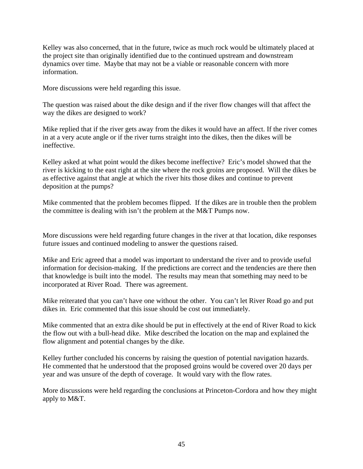Kelley was also concerned, that in the future, twice as much rock would be ultimately placed at the project site than originally identified due to the continued upstream and downstream dynamics over time. Maybe that may not be a viable or reasonable concern with more information.

More discussions were held regarding this issue.

The question was raised about the dike design and if the river flow changes will that affect the way the dikes are designed to work?

Mike replied that if the river gets away from the dikes it would have an affect. If the river comes in at a very acute angle or if the river turns straight into the dikes, then the dikes will be ineffective.

Kelley asked at what point would the dikes become ineffective? Eric's model showed that the river is kicking to the east right at the site where the rock groins are proposed. Will the dikes be as effective against that angle at which the river hits those dikes and continue to prevent deposition at the pumps?

Mike commented that the problem becomes flipped. If the dikes are in trouble then the problem the committee is dealing with isn't the problem at the M&T Pumps now.

More discussions were held regarding future changes in the river at that location, dike responses future issues and continued modeling to answer the questions raised.

Mike and Eric agreed that a model was important to understand the river and to provide useful information for decision-making. If the predictions are correct and the tendencies are there then that knowledge is built into the model. The results may mean that something may need to be incorporated at River Road. There was agreement.

Mike reiterated that you can't have one without the other. You can't let River Road go and put dikes in. Eric commented that this issue should be cost out immediately.

Mike commented that an extra dike should be put in effectively at the end of River Road to kick the flow out with a bull-head dike. Mike described the location on the map and explained the flow alignment and potential changes by the dike.

Kelley further concluded his concerns by raising the question of potential navigation hazards. He commented that he understood that the proposed groins would be covered over 20 days per year and was unsure of the depth of coverage. It would vary with the flow rates.

More discussions were held regarding the conclusions at Princeton-Cordora and how they might apply to M&T.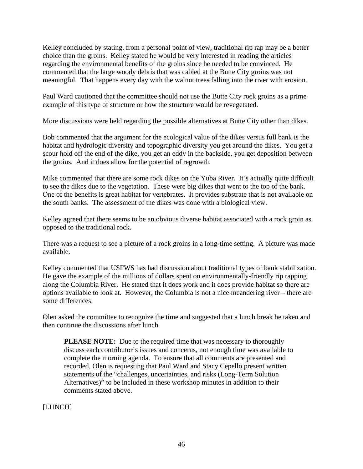Kelley concluded by stating, from a personal point of view, traditional rip rap may be a better choice than the groins. Kelley stated he would be very interested in reading the articles regarding the environmental benefits of the groins since he needed to be convinced. He commented that the large woody debris that was cabled at the Butte City groins was not meaningful. That happens every day with the walnut trees falling into the river with erosion.

Paul Ward cautioned that the committee should not use the Butte City rock groins as a prime example of this type of structure or how the structure would be revegetated.

More discussions were held regarding the possible alternatives at Butte City other than dikes.

Bob commented that the argument for the ecological value of the dikes versus full bank is the habitat and hydrologic diversity and topographic diversity you get around the dikes. You get a scour hold off the end of the dike, you get an eddy in the backside, you get deposition between the groins. And it does allow for the potential of regrowth.

Mike commented that there are some rock dikes on the Yuba River. It's actually quite difficult to see the dikes due to the vegetation. These were big dikes that went to the top of the bank. One of the benefits is great habitat for vertebrates. It provides substrate that is not available on the south banks. The assessment of the dikes was done with a biological view.

Kelley agreed that there seems to be an obvious diverse habitat associated with a rock groin as opposed to the traditional rock.

There was a request to see a picture of a rock groins in a long-time setting. A picture was made available.

Kelley commented that USFWS has had discussion about traditional types of bank stabilization. He gave the example of the millions of dollars spent on environmentally-friendly rip rapping along the Columbia River. He stated that it does work and it does provide habitat so there are options available to look at. However, the Columbia is not a nice meandering river – there are some differences.

Olen asked the committee to recognize the time and suggested that a lunch break be taken and then continue the discussions after lunch.

**PLEASE NOTE:** Due to the required time that was necessary to thoroughly discuss each contributor's issues and concerns, not enough time was available to complete the morning agenda. To ensure that all comments are presented and recorded, Olen is requesting that Paul Ward and Stacy Cepello present written statements of the "challenges, uncertainties, and risks (Long-Term Solution Alternatives)" to be included in these workshop minutes in addition to their comments stated above.

[LUNCH]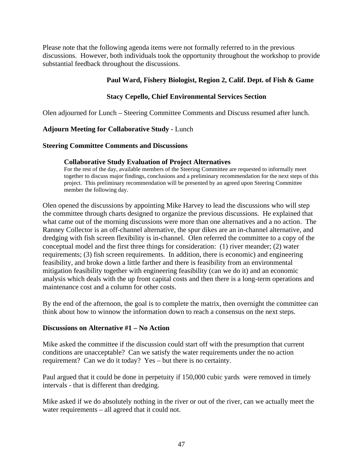Please note that the following agenda items were not formally referred to in the previous discussions. However, both individuals took the opportunity throughout the workshop to provide substantial feedback throughout the discussions.

### **Paul Ward, Fishery Biologist, Region 2, Calif. Dept. of Fish & Game**

#### **Stacy Cepello, Chief Environmental Services Section**

Olen adjourned for Lunch – Steering Committee Comments and Discuss resumed after lunch.

#### **Adjourn Meeting for Collaborative Study -** Lunch

#### **Steering Committee Comments and Discussions**

#### **Collaborative Study Evaluation of Project Alternatives**

For the rest of the day, available members of the Steering Committee are requested to informally meet together to discuss major findings, conclusions and a preliminary recommendation for the next steps of this project. This preliminary recommendation will be presented by an agreed upon Steering Committee member the following day.

Olen opened the discussions by appointing Mike Harvey to lead the discussions who will step the committee through charts designed to organize the previous discussions. He explained that what came out of the morning discussions were more than one alternatives and a no action. The Ranney Collector is an off-channel alternative, the spur dikes are an in-channel alternative, and dredging with fish screen flexibility is in-channel. Olen referred the committee to a copy of the conceptual model and the first three things for consideration: (1) river meander; (2) water requirements; (3) fish screen requirements. In addition, there is economic) and engineering feasibility, and broke down a little farther and there is feasibility from an environmental mitigation feasibility together with engineering feasibility (can we do it) and an economic analysis which deals with the up front capital costs and then there is a long-term operations and maintenance cost and a column for other costs.

By the end of the afternoon, the goal is to complete the matrix, then overnight the committee can think about how to winnow the information down to reach a consensus on the next steps.

#### **Discussions on Alternative #1 – No Action**

Mike asked the committee if the discussion could start off with the presumption that current conditions are unacceptable? Can we satisfy the water requirements under the no action requirement? Can we do it today? Yes – but there is no certainty.

Paul argued that it could be done in perpetuity if 150,000 cubic yards were removed in timely intervals - that is different than dredging.

Mike asked if we do absolutely nothing in the river or out of the river, can we actually meet the water requirements – all agreed that it could not.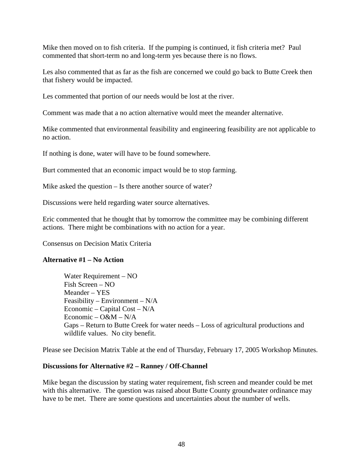Mike then moved on to fish criteria. If the pumping is continued, it fish criteria met? Paul commented that short-term no and long-term yes because there is no flows.

Les also commented that as far as the fish are concerned we could go back to Butte Creek then that fishery would be impacted.

Les commented that portion of our needs would be lost at the river.

Comment was made that a no action alternative would meet the meander alternative.

Mike commented that environmental feasibility and engineering feasibility are not applicable to no action.

If nothing is done, water will have to be found somewhere.

Burt commented that an economic impact would be to stop farming.

Mike asked the question – Is there another source of water?

Discussions were held regarding water source alternatives.

Eric commented that he thought that by tomorrow the committee may be combining different actions. There might be combinations with no action for a year.

Consensus on Decision Matix Criteria

#### **Alternative #1 – No Action**

Water Requirement – NO Fish Screen – NO Meander – YES Feasibility – Environment – N/A Economic – Capital Cost – N/A  $Economic - O\&M - N/A$ Gaps – Return to Butte Creek for water needs – Loss of agricultural productions and wildlife values. No city benefit.

Please see Decision Matrix Table at the end of Thursday, February 17, 2005 Workshop Minutes.

#### **Discussions for Alternative #2 – Ranney / Off-Channel**

Mike began the discussion by stating water requirement, fish screen and meander could be met with this alternative. The question was raised about Butte County groundwater ordinance may have to be met. There are some questions and uncertainties about the number of wells.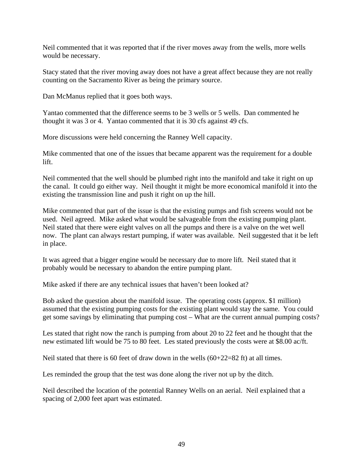Neil commented that it was reported that if the river moves away from the wells, more wells would be necessary.

Stacy stated that the river moving away does not have a great affect because they are not really counting on the Sacramento River as being the primary source.

Dan McManus replied that it goes both ways.

Yantao commented that the difference seems to be 3 wells or 5 wells. Dan commented he thought it was 3 or 4. Yantao commented that it is 30 cfs against 49 cfs.

More discussions were held concerning the Ranney Well capacity.

Mike commented that one of the issues that became apparent was the requirement for a double lift.

Neil commented that the well should be plumbed right into the manifold and take it right on up the canal. It could go either way. Neil thought it might be more economical manifold it into the existing the transmission line and push it right on up the hill.

Mike commented that part of the issue is that the existing pumps and fish screens would not be used. Neil agreed. Mike asked what would be salvageable from the existing pumping plant. Neil stated that there were eight valves on all the pumps and there is a valve on the wet well now. The plant can always restart pumping, if water was available. Neil suggested that it be left in place.

It was agreed that a bigger engine would be necessary due to more lift. Neil stated that it probably would be necessary to abandon the entire pumping plant.

Mike asked if there are any technical issues that haven't been looked at?

Bob asked the question about the manifold issue. The operating costs (approx. \$1 million) assumed that the existing pumping costs for the existing plant would stay the same. You could get some savings by eliminating that pumping cost – What are the current annual pumping costs?

Les stated that right now the ranch is pumping from about 20 to 22 feet and he thought that the new estimated lift would be 75 to 80 feet. Les stated previously the costs were at \$8.00 ac/ft.

Neil stated that there is 60 feet of draw down in the wells  $(60+22=82 \text{ ft})$  at all times.

Les reminded the group that the test was done along the river not up by the ditch.

Neil described the location of the potential Ranney Wells on an aerial. Neil explained that a spacing of 2,000 feet apart was estimated.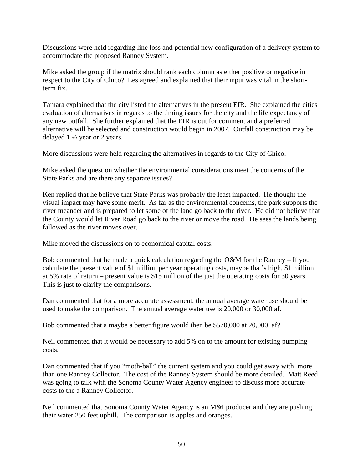Discussions were held regarding line loss and potential new configuration of a delivery system to accommodate the proposed Ranney System.

Mike asked the group if the matrix should rank each column as either positive or negative in respect to the City of Chico? Les agreed and explained that their input was vital in the shortterm fix.

Tamara explained that the city listed the alternatives in the present EIR. She explained the cities evaluation of alternatives in regards to the timing issues for the city and the life expectancy of any new outfall. She further explained that the EIR is out for comment and a preferred alternative will be selected and construction would begin in 2007. Outfall construction may be delayed 1 ½ year or 2 years.

More discussions were held regarding the alternatives in regards to the City of Chico.

Mike asked the question whether the environmental considerations meet the concerns of the State Parks and are there any separate issues?

Ken replied that he believe that State Parks was probably the least impacted. He thought the visual impact may have some merit. As far as the environmental concerns, the park supports the river meander and is prepared to let some of the land go back to the river. He did not believe that the County would let River Road go back to the river or move the road. He sees the lands being fallowed as the river moves over.

Mike moved the discussions on to economical capital costs.

Bob commented that he made a quick calculation regarding the O&M for the Ranney  $-$  If you calculate the present value of \$1 million per year operating costs, maybe that's high, \$1 million at 5% rate of return – present value is \$15 million of the just the operating costs for 30 years. This is just to clarify the comparisons.

Dan commented that for a more accurate assessment, the annual average water use should be used to make the comparison. The annual average water use is 20,000 or 30,000 af.

Bob commented that a maybe a better figure would then be \$570,000 at 20,000 af?

Neil commented that it would be necessary to add 5% on to the amount for existing pumping costs.

Dan commented that if you "moth-ball" the current system and you could get away with more than one Ranney Collector. The cost of the Ranney System should be more detailed. Matt Reed was going to talk with the Sonoma County Water Agency engineer to discuss more accurate costs to the a Ranney Collector.

Neil commented that Sonoma County Water Agency is an M&I producer and they are pushing their water 250 feet uphill. The comparison is apples and oranges.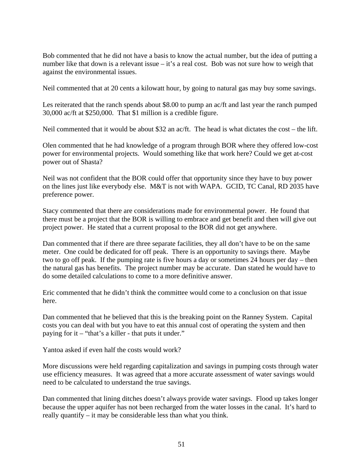Bob commented that he did not have a basis to know the actual number, but the idea of putting a number like that down is a relevant issue – it's a real cost. Bob was not sure how to weigh that against the environmental issues.

Neil commented that at 20 cents a kilowatt hour, by going to natural gas may buy some savings.

Les reiterated that the ranch spends about \$8.00 to pump an ac/ft and last year the ranch pumped 30,000 ac/ft at \$250,000. That \$1 million is a credible figure.

Neil commented that it would be about \$32 an ac/ft. The head is what dictates the cost – the lift.

Olen commented that he had knowledge of a program through BOR where they offered low-cost power for environmental projects. Would something like that work here? Could we get at-cost power out of Shasta?

Neil was not confident that the BOR could offer that opportunity since they have to buy power on the lines just like everybody else. M&T is not with WAPA. GCID, TC Canal, RD 2035 have preference power.

Stacy commented that there are considerations made for environmental power. He found that there must be a project that the BOR is willing to embrace and get benefit and then will give out project power. He stated that a current proposal to the BOR did not get anywhere.

Dan commented that if there are three separate facilities, they all don't have to be on the same meter. One could be dedicated for off peak. There is an opportunity to savings there. Maybe two to go off peak. If the pumping rate is five hours a day or sometimes 24 hours per day – then the natural gas has benefits. The project number may be accurate. Dan stated he would have to do some detailed calculations to come to a more definitive answer.

Eric commented that he didn't think the committee would come to a conclusion on that issue here.

Dan commented that he believed that this is the breaking point on the Ranney System. Capital costs you can deal with but you have to eat this annual cost of operating the system and then paying for it – "that's a killer - that puts it under."

Yantoa asked if even half the costs would work?

More discussions were held regarding capitalization and savings in pumping costs through water use efficiency measures. It was agreed that a more accurate assessment of water savings would need to be calculated to understand the true savings.

Dan commented that lining ditches doesn't always provide water savings. Flood up takes longer because the upper aquifer has not been recharged from the water losses in the canal. It's hard to really quantify – it may be considerable less than what you think.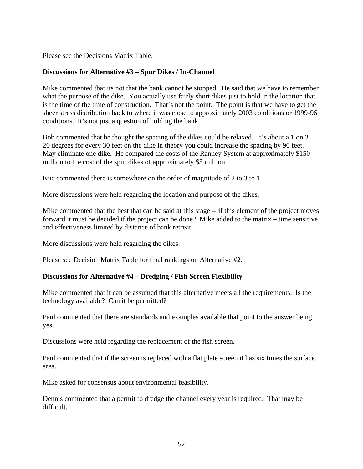Please see the Decisions Matrix Table.

### **Discussions for Alternative #3 – Spur Dikes / In-Channel**

Mike commented that its not that the bank cannot be stopped. He said that we have to remember what the purpose of the dike. You actually use fairly short dikes just to hold in the location that is the time of the time of construction. That's not the point. The point is that we have to get the sheer stress distribution back to where it was close to approximately 2003 conditions or 1999-96 conditions. It's not just a question of holding the bank.

Bob commented that he thought the spacing of the dikes could be relaxed. It's about a 1 on  $3 -$ 20 degrees for every 30 feet on the dike in theory you could increase the spacing by 90 feet. May eliminate one dike. He compared the costs of the Ranney System at approximately \$150 million to the cost of the spur dikes of approximately \$5 million.

Eric commented there is somewhere on the order of magnitude of 2 to 3 to 1.

More discussions were held regarding the location and purpose of the dikes.

Mike commented that the best that can be said at this stage -- if this element of the project moves forward it must be decided if the project can be done? Mike added to the matrix – time sensitive and effectiveness limited by distance of bank retreat.

More discussions were held regarding the dikes.

Please see Decision Matrix Table for final rankings on Alternative #2.

#### **Discussions for Alternative #4 – Dredging / Fish Screen Flexibility**

Mike commented that it can be assumed that this alternative meets all the requirements. Is the technology available? Can it be permitted?

Paul commented that there are standards and examples available that point to the answer being yes.

Discussions were held regarding the replacement of the fish screen.

Paul commented that if the screen is replaced with a flat plate screen it has six times the surface area.

Mike asked for consensus about environmental feasibility.

Dennis commented that a permit to dredge the channel every year is required. That may be difficult.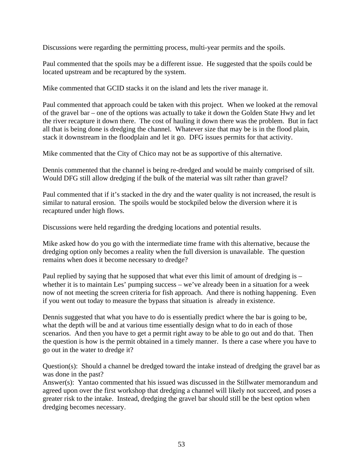Discussions were regarding the permitting process, multi-year permits and the spoils.

Paul commented that the spoils may be a different issue. He suggested that the spoils could be located upstream and be recaptured by the system.

Mike commented that GCID stacks it on the island and lets the river manage it.

Paul commented that approach could be taken with this project. When we looked at the removal of the gravel bar – one of the options was actually to take it down the Golden State Hwy and let the river recapture it down there. The cost of hauling it down there was the problem. But in fact all that is being done is dredging the channel. Whatever size that may be is in the flood plain, stack it downstream in the floodplain and let it go. DFG issues permits for that activity.

Mike commented that the City of Chico may not be as supportive of this alternative.

Dennis commented that the channel is being re-dredged and would be mainly comprised of silt. Would DFG still allow dredging if the bulk of the material was silt rather than gravel?

Paul commented that if it's stacked in the dry and the water quality is not increased, the result is similar to natural erosion. The spoils would be stockpiled below the diversion where it is recaptured under high flows.

Discussions were held regarding the dredging locations and potential results.

Mike asked how do you go with the intermediate time frame with this alternative, because the dredging option only becomes a reality when the full diversion is unavailable. The question remains when does it become necessary to dredge?

Paul replied by saying that he supposed that what ever this limit of amount of dredging is – whether it is to maintain Les' pumping success – we've already been in a situation for a week now of not meeting the screen criteria for fish approach. And there is nothing happening. Even if you went out today to measure the bypass that situation is already in existence.

Dennis suggested that what you have to do is essentially predict where the bar is going to be, what the depth will be and at various time essentially design what to do in each of those scenarios. And then you have to get a permit right away to be able to go out and do that. Then the question is how is the permit obtained in a timely manner. Is there a case where you have to go out in the water to dredge it?

Question(s): Should a channel be dredged toward the intake instead of dredging the gravel bar as was done in the past?

Answer(s): Yantao commented that his issued was discussed in the Stillwater memorandum and agreed upon over the first workshop that dredging a channel will likely not succeed, and poses a greater risk to the intake. Instead, dredging the gravel bar should still be the best option when dredging becomes necessary.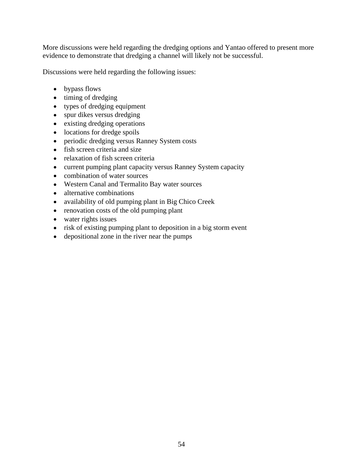More discussions were held regarding the dredging options and Yantao offered to present more evidence to demonstrate that dredging a channel will likely not be successful.

Discussions were held regarding the following issues:

- bypass flows
- timing of dredging
- types of dredging equipment
- spur dikes versus dredging
- existing dredging operations
- locations for dredge spoils
- periodic dredging versus Ranney System costs
- fish screen criteria and size
- relaxation of fish screen criteria
- current pumping plant capacity versus Ranney System capacity
- combination of water sources
- Western Canal and Termalito Bay water sources
- alternative combinations
- availability of old pumping plant in Big Chico Creek
- renovation costs of the old pumping plant
- water rights issues
- risk of existing pumping plant to deposition in a big storm event
- depositional zone in the river near the pumps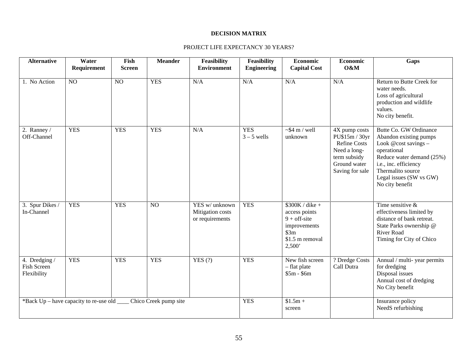#### **DECISION MATRIX**

#### PROJECT LIFE EXPECTANCY 30 YEARS?

| O&M<br>Requirement<br><b>Capital Cost</b><br>Environment<br><b>Engineering</b><br><b>Screen</b><br>NO<br><b>YES</b><br>N/A<br>NO.<br>N/A<br>N/A<br>N/A<br><b>YES</b><br><b>YES</b><br>$\sim$ \$4 m / well<br><b>YES</b><br><b>YES</b><br>N/A<br>$3 - 5$ wells<br>unknown<br>term subsidy<br>YES<br>$\overline{\text{YES}}$ w/ unknown $\overline{\text{YES}}$<br>$$300K / dike +$<br>NQ<br>Mitigation costs<br>access points<br>$9 + \text{off-site}$<br>or requirements<br>improvements<br>\$3m<br>$$1.5$ m removal<br>2,500'<br><b>YES</b><br><b>YES</b><br>YES(?)<br>New fish screen<br>YES<br><b>YES</b><br>- flat plate<br>$$5m - $6m$<br><b>YES</b><br>$$1.5m +$<br>screen | <b>Alternative</b> | Water | Fish | Meander | Feasibility | Feasibility | Economic | Economic |
|----------------------------------------------------------------------------------------------------------------------------------------------------------------------------------------------------------------------------------------------------------------------------------------------------------------------------------------------------------------------------------------------------------------------------------------------------------------------------------------------------------------------------------------------------------------------------------------------------------------------------------------------------------------------------------|--------------------|-------|------|---------|-------------|-------------|----------|----------|
| 1. No Action<br>Ground water                                                                                                                                                                                                                                                                                                                                                                                                                                                                                                                                                                                                                                                     |                    |       |      |         |             |             |          |          |
| 2. Ranney /<br>Off-Channel<br>3. Spur Dikes / YES<br>In-Channel<br>4. Dredging /<br>Fish Screen<br>Flexibility<br>*Back Up – have capacity to re-use old ______ Chico Creek pump site                                                                                                                                                                                                                                                                                                                                                                                                                                                                                            |                    |       |      |         |             |             |          |          |
|                                                                                                                                                                                                                                                                                                                                                                                                                                                                                                                                                                                                                                                                                  |                    |       |      |         |             |             |          |          |
|                                                                                                                                                                                                                                                                                                                                                                                                                                                                                                                                                                                                                                                                                  |                    |       |      |         |             |             |          |          |
| Loss of agricultural<br>production and wildlife<br>No city benefit.                                                                                                                                                                                                                                                                                                                                                                                                                                                                                                                                                                                                              |                    |       |      |         |             |             |          |          |
|                                                                                                                                                                                                                                                                                                                                                                                                                                                                                                                                                                                                                                                                                  |                    |       |      |         |             |             |          |          |
|                                                                                                                                                                                                                                                                                                                                                                                                                                                                                                                                                                                                                                                                                  |                    |       |      |         |             |             |          |          |
| 4X pump costs<br>PU\$15m / 30yr<br>Refine Costs<br>Refine Costs<br>Need a long-<br>Refine Costs<br>Public Look @cost savings –<br>Need a long-<br>operational<br>Reduce water demand (25%)<br>Ground water i.e., inc. efficiency<br>Saving for sale Thermalito source<br>Legal issues (SW vs GW)<br>No city benefit<br>Time sensitive $\&$<br>effectiveness limited by<br>distance of bank retreat.<br>State Parks ownership @<br>River Road<br>Timing for City of Chico                                                                                                                                                                                                         |                    |       |      |         |             |             |          |          |
|                                                                                                                                                                                                                                                                                                                                                                                                                                                                                                                                                                                                                                                                                  |                    |       |      |         |             |             |          |          |
|                                                                                                                                                                                                                                                                                                                                                                                                                                                                                                                                                                                                                                                                                  |                    |       |      |         |             |             |          |          |
|                                                                                                                                                                                                                                                                                                                                                                                                                                                                                                                                                                                                                                                                                  |                    |       |      |         |             |             |          |          |
|                                                                                                                                                                                                                                                                                                                                                                                                                                                                                                                                                                                                                                                                                  |                    |       |      |         |             |             |          |          |
|                                                                                                                                                                                                                                                                                                                                                                                                                                                                                                                                                                                                                                                                                  |                    |       |      |         |             |             |          |          |
|                                                                                                                                                                                                                                                                                                                                                                                                                                                                                                                                                                                                                                                                                  |                    |       |      |         |             |             |          |          |
|                                                                                                                                                                                                                                                                                                                                                                                                                                                                                                                                                                                                                                                                                  |                    |       |      |         |             |             |          |          |
|                                                                                                                                                                                                                                                                                                                                                                                                                                                                                                                                                                                                                                                                                  |                    |       |      |         |             |             |          |          |
|                                                                                                                                                                                                                                                                                                                                                                                                                                                                                                                                                                                                                                                                                  |                    |       |      |         |             |             |          |          |
|                                                                                                                                                                                                                                                                                                                                                                                                                                                                                                                                                                                                                                                                                  |                    |       |      |         |             |             |          |          |
|                                                                                                                                                                                                                                                                                                                                                                                                                                                                                                                                                                                                                                                                                  |                    |       |      |         |             |             |          |          |
|                                                                                                                                                                                                                                                                                                                                                                                                                                                                                                                                                                                                                                                                                  |                    |       |      |         |             |             |          |          |
|                                                                                                                                                                                                                                                                                                                                                                                                                                                                                                                                                                                                                                                                                  |                    |       |      |         |             |             |          |          |
|                                                                                                                                                                                                                                                                                                                                                                                                                                                                                                                                                                                                                                                                                  |                    |       |      |         |             |             |          |          |
|                                                                                                                                                                                                                                                                                                                                                                                                                                                                                                                                                                                                                                                                                  |                    |       |      |         |             |             |          |          |
|                                                                                                                                                                                                                                                                                                                                                                                                                                                                                                                                                                                                                                                                                  |                    |       |      |         |             |             |          |          |
|                                                                                                                                                                                                                                                                                                                                                                                                                                                                                                                                                                                                                                                                                  |                    |       |      |         |             |             |          |          |
| ? Dredge Costs<br>Call Dutra<br>for dredging<br>for dredging                                                                                                                                                                                                                                                                                                                                                                                                                                                                                                                                                                                                                     |                    |       |      |         |             |             |          |          |
| Disposal issues<br>Annual cost of dredging<br>No City benefit<br>Insurance policy<br>NeedS refurbishing                                                                                                                                                                                                                                                                                                                                                                                                                                                                                                                                                                          |                    |       |      |         |             |             |          |          |
|                                                                                                                                                                                                                                                                                                                                                                                                                                                                                                                                                                                                                                                                                  |                    |       |      |         |             |             |          |          |
|                                                                                                                                                                                                                                                                                                                                                                                                                                                                                                                                                                                                                                                                                  |                    |       |      |         |             |             |          |          |
|                                                                                                                                                                                                                                                                                                                                                                                                                                                                                                                                                                                                                                                                                  |                    |       |      |         |             |             |          |          |
|                                                                                                                                                                                                                                                                                                                                                                                                                                                                                                                                                                                                                                                                                  |                    |       |      |         |             |             |          |          |
|                                                                                                                                                                                                                                                                                                                                                                                                                                                                                                                                                                                                                                                                                  |                    |       |      |         |             |             |          |          |
|                                                                                                                                                                                                                                                                                                                                                                                                                                                                                                                                                                                                                                                                                  |                    |       |      |         |             |             |          |          |
|                                                                                                                                                                                                                                                                                                                                                                                                                                                                                                                                                                                                                                                                                  |                    |       |      |         |             |             |          |          |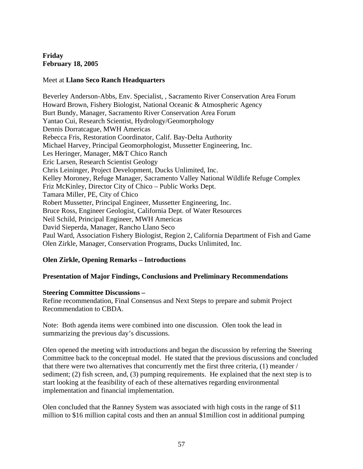### **Friday February 18, 2005**

### Meet at **Llano Seco Ranch Headquarters**

Beverley Anderson-Abbs, Env. Specialist, , Sacramento River Conservation Area Forum Howard Brown, Fishery Biologist, National Oceanic & Atmospheric Agency Burt Bundy, Manager, Sacramento River Conservation Area Forum Yantao Cui, Research Scientist, Hydrology/Geomorphology Dennis Dorratcague, MWH Americas Rebecca Fris, Restoration Coordinator, Calif. Bay-Delta Authority Michael Harvey, Principal Geomorphologist, Mussetter Engineering, Inc. Les Heringer, Manager, M&T Chico Ranch Eric Larsen, Research Scientist Geology Chris Leininger, Project Development, Ducks Unlimited, Inc. Kelley Moroney, Refuge Manager, Sacramento Valley National Wildlife Refuge Complex Friz McKinley, Director City of Chico – Public Works Dept. Tamara Miller, PE, City of Chico Robert Mussetter, Principal Engineer, Mussetter Engineering, Inc. Bruce Ross, Engineer Geologist, California Dept. of Water Resources Neil Schild, Principal Engineer, MWH Americas David Sieperda, Manager, Rancho Llano Seco Paul Ward, Association Fishery Biologist, Region 2, California Department of Fish and Game Olen Zirkle, Manager, Conservation Programs, Ducks Unlimited, Inc.

### **Olen Zirkle, Opening Remarks – Introductions**

### **Presentation of Major Findings, Conclusions and Preliminary Recommendations**

#### **Steering Committee Discussions –**

Refine recommendation, Final Consensus and Next Steps to prepare and submit Project Recommendation to CBDA.

Note: Both agenda items were combined into one discussion. Olen took the lead in summarizing the previous day's discussions.

Olen opened the meeting with introductions and began the discussion by referring the Steering Committee back to the conceptual model. He stated that the previous discussions and concluded that there were two alternatives that concurrently met the first three criteria, (1) meander / sediment; (2) fish screen, and, (3) pumping requirements. He explained that the next step is to start looking at the feasibility of each of these alternatives regarding environmental implementation and financial implementation.

Olen concluded that the Ranney System was associated with high costs in the range of \$11 million to \$16 million capital costs and then an annual \$1million cost in additional pumping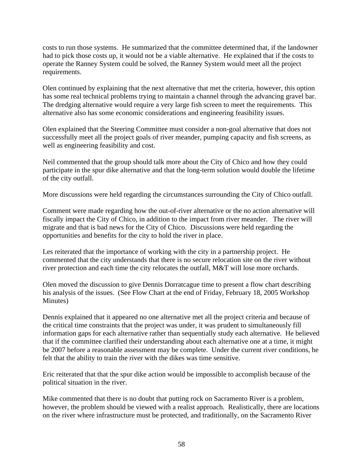costs to run those systems. He summarized that the committee determined that, if the landowner had to pick those costs up, it would not be a viable alternative. He explained that if the costs to operate the Ranney System could be solved, the Ranney System would meet all the project requirements.

Olen continued by explaining that the next alternative that met the criteria, however, this option has some real technical problems trying to maintain a channel through the advancing gravel bar. The dredging alternative would require a very large fish screen to meet the requirements. This alternative also has some economic considerations and engineering feasibility issues.

Olen explained that the Steering Committee must consider a non-goal alternative that does not successfully meet all the project goals of river meander, pumping capacity and fish screens, as well as engineering feasibility and cost.

Neil commented that the group should talk more about the City of Chico and how they could participate in the spur dike alternative and that the long-term solution would double the lifetime of the city outfall.

More discussions were held regarding the circumstances surrounding the City of Chico outfall.

Comment were made regarding how the out-of-river alternative or the no action alternative will fiscally impact the City of Chico, in addition to the impact from river meander. The river will migrate and that is bad news for the City of Chico. Discussions were held regarding the opportunities and benefits for the city to hold the river in place.

Les reiterated that the importance of working with the city in a partnership project. He commented that the city understands that there is no secure relocation site on the river without river protection and each time the city relocates the outfall, M&T will lose more orchards.

Olen moved the discussion to give Dennis Dorratcague time to present a flow chart describing his analysis of the issues. (See Flow Chart at the end of Friday, February 18, 2005 Workshop Minutes)

Dennis explained that it appeared no one alternative met all the project criteria and because of the critical time constraints that the project was under, it was prudent to simultaneously fill information gaps for each alternative rather than sequentially study each alternative. He believed that if the committee clarified their understanding about each alternative one at a time, it might be 2007 before a reasonable assessment may be complete. Under the current river conditions, he felt that the ability to train the river with the dikes was time sensitive.

Eric reiterated that that the spur dike action would be impossible to accomplish because of the political situation in the river.

Mike commented that there is no doubt that putting rock on Sacramento River is a problem, however, the problem should be viewed with a realist approach. Realistically, there are locations on the river where infrastructure must be protected, and traditionally, on the Sacramento River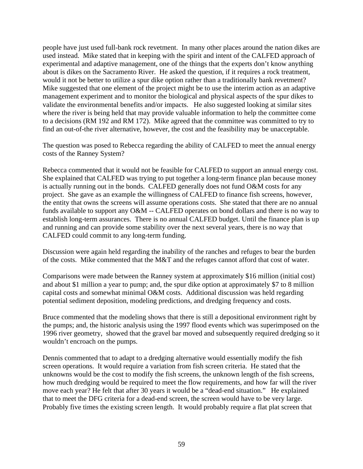people have just used full-bank rock revetment. In many other places around the nation dikes are used instead. Mike stated that in keeping with the spirit and intent of the CALFED approach of experimental and adaptive management, one of the things that the experts don't know anything about is dikes on the Sacramento River. He asked the question, if it requires a rock treatment, would it not be better to utilize a spur dike option rather than a traditionally bank revetment? Mike suggested that one element of the project might be to use the interim action as an adaptive management experiment and to monitor the biological and physical aspects of the spur dikes to validate the environmental benefits and/or impacts. He also suggested looking at similar sites where the river is being held that may provide valuable information to help the committee come to a decisions (RM 192 and RM 172). Mike agreed that the committee was committed to try to find an out-of-the river alternative, however, the cost and the feasibility may be unacceptable.

The question was posed to Rebecca regarding the ability of CALFED to meet the annual energy costs of the Ranney System? Rebecca commented that it would not be feasible for CALFED to support an annual energy cost.

She explained that CALFED was trying to put together a long-term finance plan because money is actually running out in the bonds. CALFED generally does not fund O&M costs for any project. She gave as an example the willingness of CALFED to finance fish screens, however, the entity that owns the screens will assume operations costs. She stated that there are no annual funds available to support any O&M -- CALFED operates on bond dollars and there is no way to establish long-term assurances. There is no annual CALFED budget. Until the finance plan is up and running and can provide some stability over the next several years, there is no way that CALFED could commit to any long-term funding.

Discussion were again held regarding the inability of the ranches and refuges to bear the burden of the costs. Mike commented that the M&T and the refuges cannot afford that cost of water.

Comparisons were made between the Ranney system at approximately \$16 million (initial cost) and about \$1 million a year to pump; and, the spur dike option at approximately \$7 to 8 million capital costs and somewhat minimal O&M costs. Additional discussion was held regarding potential sediment deposition, modeling predictions, and dredging frequency and costs.

Bruce commented that the modeling shows that there is still a depositional environment right by the pumps; and, the historic analysis using the 1997 flood events which was superimposed on the 1996 river geometry, showed that the gravel bar moved and subsequently required dredging so it wouldn't encroach on the pumps.

Dennis commented that to adapt to a dredging alternative would essentially modify the fish screen operations. It would require a variation from fish screen criteria. He stated that the unknowns would be the cost to modify the fish screens, the unknown length of the fish screens, how much dredging would be required to meet the flow requirements, and how far will the river move each year? He felt that after 30 years it would be a "dead-end situation." He explained that to meet the DFG criteria for a dead-end screen, the screen would have to be very large. Probably five times the existing screen length. It would probably require a flat plat screen that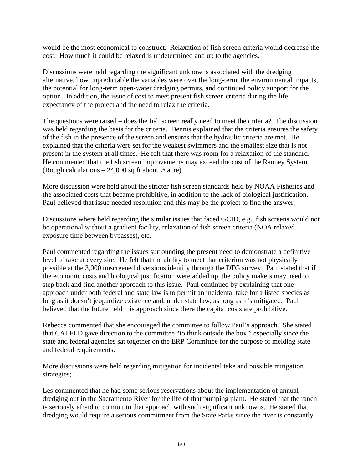would be the most economical to construct. Relaxation of fish screen criteria would decrease the cost. How much it could be relaxed is undetermined and up to the agencies.

Discussions were held regarding the significant unknowns associated with the dredging alternative, how unpredictable the variables were over the long-term, the environmental impacts, the potential for long-term open-water dredging permits, and continued policy support for the option. In addition, the issue of cost to meet present fish screen criteria during the life expectancy of the project and the need to relax the criteria.

The questions were raised – does the fish screen really need to meet the criteria? The discussion was held regarding the basis for the criteria. Dennis explained that the criteria ensures the safety of the fish in the presence of the screen and ensures that the hydraulic criteria are met. He explained that the criteria were set for the weakest swimmers and the smallest size that is not present in the system at all times. He felt that there was room for a relaxation of the standard. He commented that the fish screen improvements may exceed the cost of the Ranney System. (Rough calculations  $-24,000$  sq ft about  $\frac{1}{2}$  acre)

More discussion were held about the stricter fish screen standards held by NOAA Fisheries and the associated costs that became prohibitive, in addition to the lack of biological justification. Paul believed that issue needed resolution and this may be the project to find the answer.

Discussions where held regarding the similar issues that faced GCID, e.g., fish screens would not be operational without a gradient facility, relaxation of fish screen criteria (NOA relaxed exposure time between bypasses), etc.

Paul commented regarding the issues surrounding the present need to demonstrate a definitive level of take at every site. He felt that the ability to meet that criterion was not physically possible at the 3,000 unscreened diversions identify through the DFG survey. Paul stated that if the economic costs and biological justification were added up, the policy makers may need to step back and find another approach to this issue. Paul continued by explaining that one approach under both federal and state law is to permit an incidental take for a listed species as long as it doesn't jeopardize existence and, under state law, as long as it's mitigated. Paul believed that the future held this approach since there the capital costs are prohibitive.

Rebecca commented that she encouraged the committee to follow Paul's approach. She stated that CALFED gave direction to the committee "to think outside the box," especially since the state and federal agencies sat together on the ERP Committee for the purpose of melding state and federal requirements.

More discussions were held regarding mitigation for incidental take and possible mitigation strategies;

Les commented that he had some serious reservations about the implementation of annual dredging out in the Sacramento River for the life of that pumping plant. He stated that the ranch is seriously afraid to commit to that approach with such significant unknowns. He stated that dredging would require a serious commitment from the State Parks since the river is constantly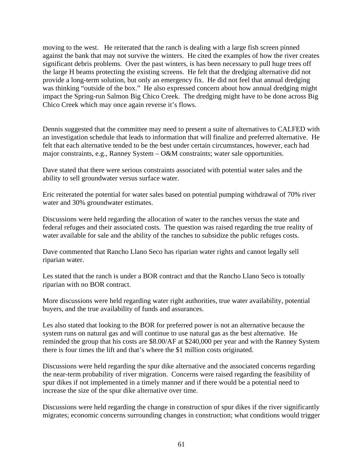moving to the west. He reiterated that the ranch is dealing with a large fish screen pinned against the bank that may not survive the winters. He cited the examples of how the river creates significant debris problems. Over the past winters, is has been necessary to pull huge trees off the large H beams protecting the existing screens. He felt that the dredging alternative did not provide a long-term solution, but only an emergency fix. He did not feel that annual dredging was thinking "outside of the box." He also expressed concern about how annual dredging might impact the Spring-run Salmon Big Chico Creek. The dredging might have to be done across Big Chico Creek which may once again reverse it's flows.

Dennis suggested that the committee may need to present a suite of alternatives to CALFED with an investigation schedule that leads to information that will finalize and preferred alternative. He felt that each alternative tended to be the best under certain circumstances, however, each had major constraints, e.g., Ranney System – O&M constraints; water sale opportunities.

Dave stated that there were serious constraints associated with potential water sales and the ability to sell groundwater versus surface water.

Eric reiterated the potential for water sales based on potential pumping withdrawal of 70% river water and 30% groundwater estimates.

Discussions were held regarding the allocation of water to the ranches versus the state and federal refuges and their associated costs. The question was raised regarding the true reality of water available for sale and the ability of the ranches to subsidize the public refuges costs.

Dave commented that Rancho Llano Seco has riparian water rights and cannot legally sell riparian water.

Les stated that the ranch is under a BOR contract and that the Rancho Llano Seco is totoally riparian with no BOR contract.

More discussions were held regarding water right authorities, true water availability, potential buyers, and the true availability of funds and assurances.

Les also stated that looking to the BOR for preferred power is not an alternative because the system runs on natural gas and will continue to use natural gas as the best alternative. He reminded the group that his costs are \$8.00/AF at \$240,000 per year and with the Ranney System there is four times the lift and that's where the \$1 million costs originated.

Discussions were held regarding the spur dike alternative and the associated concerns regarding the near-term probability of river migration. Concerns were raised regarding the feasibility of spur dikes if not implemented in a timely manner and if there would be a potential need to increase the size of the spur dike alternative over time.

Discussions were held regarding the change in construction of spur dikes if the river significantly migrates; economic concerns surrounding changes in construction; what conditions would trigger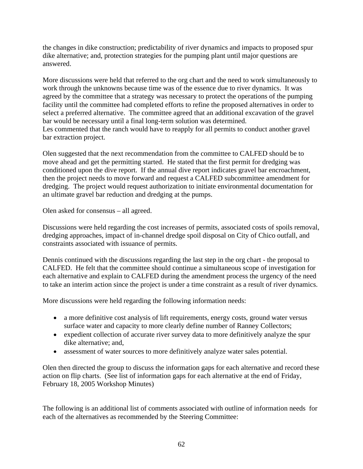the changes in dike construction; predictability of river dynamics and impacts to proposed spur dike alternative; and, protection strategies for the pumping plant until major questions are answered.

More discussions were held that referred to the org chart and the need to work simultaneously to work through the unknowns because time was of the essence due to river dynamics. It was agreed by the committee that a strategy was necessary to protect the operations of the pumping facility until the committee had completed efforts to refine the proposed alternatives in order to select a preferred alternative. The committee agreed that an additional excavation of the gravel bar would be necessary until a final long-term solution was determined. Les commented that the ranch would have to reapply for all permits to conduct another gravel bar extraction project.

Olen suggested that the next recommendation from the committee to CALFED should be to move ahead and get the permitting started. He stated that the first permit for dredging was conditioned upon the dive report. If the annual dive report indicates gravel bar encroachment, then the project needs to move forward and request a CALFED subcommittee amendment for dredging. The project would request authorization to initiate environmental documentation for an ultimate gravel bar reduction and dredging at the pumps.

Olen asked for consensus – all agreed.

Discussions were held regarding the cost increases of permits, associated costs of spoils removal, dredging approaches, impact of in-channel dredge spoil disposal on City of Chico outfall, and constraints associated with issuance of permits.

Dennis continued with the discussions regarding the last step in the org chart - the proposal to CALFED. He felt that the committee should continue a simultaneous scope of investigation for each alternative and explain to CALFED during the amendment process the urgency of the need to take an interim action since the project is under a time constraint as a result of river dynamics.

More discussions were held regarding the following information needs:

- a more definitive cost analysis of lift requirements, energy costs, ground water versus surface water and capacity to more clearly define number of Ranney Collectors;
- expedient collection of accurate river survey data to more definitively analyze the spur dike alternative; and,
- assessment of water sources to more definitively analyze water sales potential.

Olen then directed the group to discuss the information gaps for each alternative and record these action on flip charts. (See list of information gaps for each alternative at the end of Friday, February 18, 2005 Workshop Minutes)

The following is an additional list of comments associated with outline of information needs for each of the alternatives as recommended by the Steering Committee: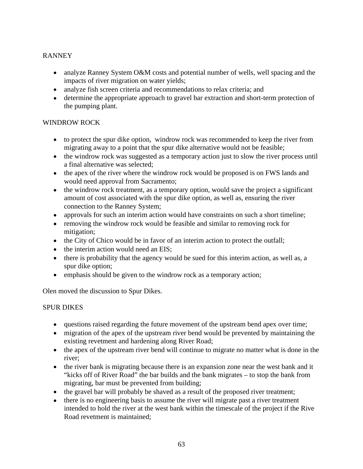## RANNEY

- analyze Ranney System O&M costs and potential number of wells, well spacing and the impacts of river migration on water yields;
- analyze fish screen criteria and recommendations to relax criteria; and
- determine the appropriate approach to gravel bar extraction and short-term protection of the pumping plant.

### WINDROW ROCK

- to protect the spur dike option, windrow rock was recommended to keep the river from migrating away to a point that the spur dike alternative would not be feasible;
- the windrow rock was suggested as a temporary action just to slow the river process until a final alternative was selected;
- the apex of the river where the windrow rock would be proposed is on FWS lands and would need approval from Sacramento;
- the windrow rock treatment, as a temporary option, would save the project a significant amount of cost associated with the spur dike option, as well as, ensuring the river connection to the Ranney System;
- approvals for such an interim action would have constraints on such a short timeline;
- removing the windrow rock would be feasible and similar to removing rock for mitigation; the contract of the contract of the contract of the contract of the contract of the contract of the contract of the contract of the contract of the contract of the contract of the contract of the contract of th
- the City of Chico would be in favor of an interim action to protect the outfall;
- the interim action would need an EIS;
- there is probability that the agency would be sued for this interim action, as well as, a spur dike option;
- emphasis should be given to the windrow rock as a temporary action;

Olen moved the discussion to Spur Dikes.

### SPUR DIKES

- questions raised regarding the future movement of the upstream bend apex over time;
- migration of the apex of the upstream river bend would be prevented by maintaining the existing revetment and hardening along River Road;
- the apex of the upstream river bend will continue to migrate no matter what is done in the river;
- the river bank is migrating because there is an expansion zone near the west bank and it "kicks off of River Road" the bar builds and the bank migrates – to stop the bank from migrating, bar must be prevented from building;
- the gravel bar will probably be shaved as a result of the proposed river treatment;
- there is no engineering basis to assume the river will migrate past a river treatment intended to hold the river at the west bank within the timescale of the project if the Rive Road revetment is maintained;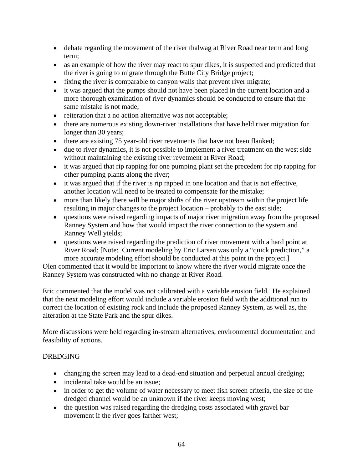- debate regarding the movement of the river thalwag at River Road near term and long term;
- as an example of how the river may react to spur dikes, it is suspected and predicted that the river is going to migrate through the Butte City Bridge project;
- fixing the river is comparable to canyon walls that prevent river migrate;
- it was argued that the pumps should not have been placed in the current location and a more thorough examination of river dynamics should be conducted to ensure that the same mistake is not made;
- reiteration that a no action alternative was not acceptable;
- there are numerous existing down-river installations that have held river migration for longer than 30 years;
- there are existing 75 year-old river revetments that have not been flanked;
- due to river dynamics, it is not possible to implement a river treatment on the west side without maintaining the existing river revetment at River Road;
- it was argued that rip rapping for one pumping plant set the precedent for rip rapping for other pumping plants along the river;
- it was argued that if the river is rip rapped in one location and that is not effective, another location will need to be treated to compensate for the mistake;
- more than likely there will be major shifts of the river upstream within the project life resulting in major changes to the project location – probably to the east side;
- questions were raised regarding impacts of major river migration away from the proposed Ranney System and how that would impact the river connection to the system and Ranney Well yields;
- questions were raised regarding the prediction of river movement with a hard point at River Road; [Note: Current modeling by Eric Larsen was only a "quick prediction," a more accurate modeling effort should be conducted at this point in the project.]

Olen commented that it would be important to know where the river would migrate once the Ranney System was constructed with no change at River Road.

Eric commented that the model was not calibrated with a variable erosion field. He explained that the next modeling effort would include a variable erosion field with the additional run to correct the location of existing rock and include the proposed Ranney System, as well as, the alteration at the State Park and the spur dikes.

More discussions were held regarding in-stream alternatives, environmental documentation and feasibility of actions.

### DREDGING

- changing the screen may lead to a dead-end situation and perpetual annual dredging;
- incidental take would be an issue;
- in order to get the volume of water necessary to meet fish screen criteria, the size of the dredged channel would be an unknown if the river keeps moving west;
- the question was raised regarding the dredging costs associated with gravel bar movement if the river goes farther west;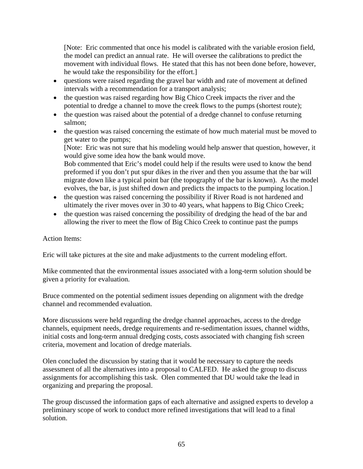[Note: Eric commented that once his model is calibrated with the variable erosion field, the model can predict an annual rate. He will oversee the calibrations to predict the movement with individual flows. He stated that this has not been done before, however, he would take the responsibility for the effort.]

- questions were raised regarding the gravel bar width and rate of movement at defined intervals with a recommendation for a transport analysis;
- the question was raised regarding how Big Chico Creek impacts the river and the potential to dredge a channel to move the creek flows to the pumps (shortest route);
- the question was raised about the potential of a dredge channel to confuse returning salmon; and the same state of the state of the state of the state of the state of the state of the state of the state of the state of the state of the state of the state of the state of the state of the state of the state
- the question was raised concerning the estimate of how much material must be moved to get water to the pumps;

[Note: Eric was not sure that his modeling would help answer that question, however, it would give some idea how the bank would move.

Bob commented that Eric's model could help if the results were used to know the bend preformed if you don't put spur dikes in the river and then you assume that the bar will migrate down like a typical point bar (the topography of the bar is known). As the model evolves, the bar, is just shifted down and predicts the impacts to the pumping location.]

- the question was raised concerning the possibility if River Road is not hardened and ultimately the river moves over in 30 to 40 years, what happens to Big Chico Creek;
- the question was raised concerning the possibility of dredging the head of the bar and allowing the river to meet the flow of Big Chico Creek to continue past the pumps

### Action Items:

Eric will take pictures at the site and make adjustments to the current modeling effort.

Mike commented that the environmental issues associated with a long-term solution should be given a priority for evaluation.

Bruce commented on the potential sediment issues depending on alignment with the dredge channel and recommended evaluation.

More discussions were held regarding the dredge channel approaches, access to the dredge channels, equipment needs, dredge requirements and re-sedimentation issues, channel widths, initial costs and long-term annual dredging costs, costs associated with changing fish screen criteria, movement and location of dredge materials.

Olen concluded the discussion by stating that it would be necessary to capture the needs assessment of all the alternatives into a proposal to CALFED. He asked the group to discuss assignments for accomplishing this task. Olen commented that DU would take the lead in organizing and preparing the proposal.

The group discussed the information gaps of each alternative and assigned experts to develop a preliminary scope of work to conduct more refined investigations that will lead to a final solution.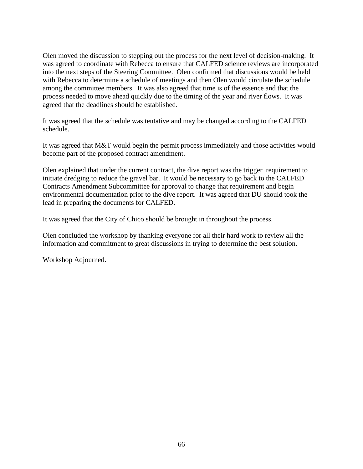Olen moved the discussion to stepping out the process for the next level of decision-making. It was agreed to coordinate with Rebecca to ensure that CALFED science reviews are incorporated into the next steps of the Steering Committee. Olen confirmed that discussions would be held with Rebecca to determine a schedule of meetings and then Olen would circulate the schedule among the committee members. It was also agreed that time is of the essence and that the process needed to move ahead quickly due to the timing of the year and river flows. It was agreed that the deadlines should be established.

It was agreed that the schedule was tentative and may be changed according to the CALFED schedule. The set of the set of the set of the set of the set of the set of the set of the set of the set of the set of the set of the set of the set of the set of the set of the set of the set of the set of the set of the

It was agreed that M&T would begin the permit process immediately and those activities would become part of the proposed contract amendment.

Olen explained that under the current contract, the dive report was the trigger requirement to initiate dredging to reduce the gravel bar. It would be necessary to go back to the CALFED Contracts Amendment Subcommittee for approval to change that requirement and begin environmental documentation prior to the dive report. It was agreed that DU should took the lead in preparing the documents for CALFED.

It was agreed that the City of Chico should be brought in throughout the process.

Olen concluded the workshop by thanking everyone for all their hard work to review all the information and commitment to great discussions in trying to determine the best solution.

Workshop Adjourned.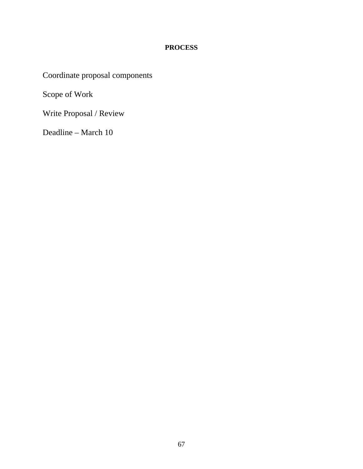### **PROCESS**

Coordinate proposal components

Scope of Work and the Scope of Work and the Scope of Work and the Scope of Work and the Scope of Work and the Scope of Work and the Scope of Work and the Scope of Work and the Scope of Work and the Scope of Work and the Sc

Write Proposal / Review

Deadline – March 10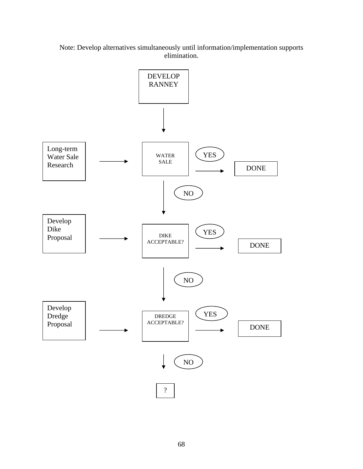Note: Develop alternatives simultaneously until information/implementation supports elimination.

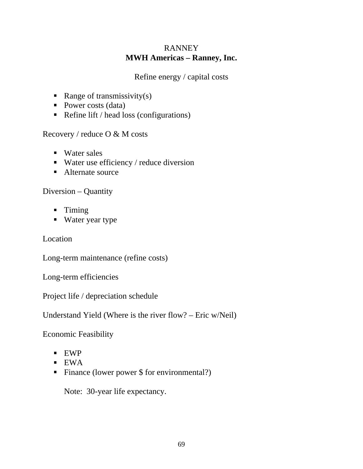# RANNEY **MWH Americas – Ranney, Inc.**

## Refine energy / capital costs

- Range of transmissivity(s)
- Power costs (data)
- Refine lift / head loss (configurations)

Recovery / reduce O & M costs

- Water sales
- Water use efficiency / reduce diversion
- Alternate source **Alternation**

Diversion – Quantity

- **Timing** the contract of the contract of the contract of the contract of the contract of the contract of the contract of the contract of the contract of the contract of the contract of the contract of the contract of the c
- Water year type when the set of the set of the set of the set of the set of the set of the set of the set of the set of the set of the set of the set of the set of the set of the set of the set of the set of the set of the

Location **Leader** 

Long-term maintenance (refine costs)

Long-term efficiencies

Project life / depreciation schedule

Understand Yield (Where is the river flow? – Eric w/Neil)

Economic Feasibility

- EWP
- EWA
- Finance (lower power \$ for environmental?)

Note: 30-year life expectancy.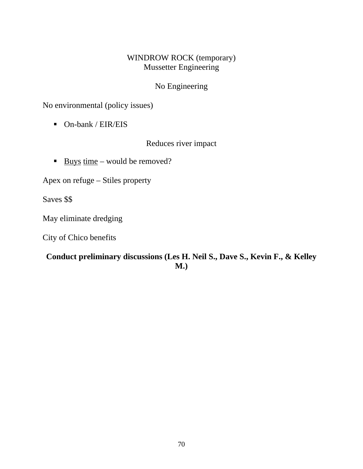## WINDROW ROCK (temporary) Mussetter Engineering

# No Engineering

No environmental (policy issues)

On-bank / EIR/EIS

## Reduces river impact

Buys time – would be removed?

Apex on refuge – Stiles property

Saves \$\$

May eliminate dredging

City of Chico benefits

## **Conduct preliminary discussions (Les H. Neil S., Dave S., Kevin F., & Kelley M.)**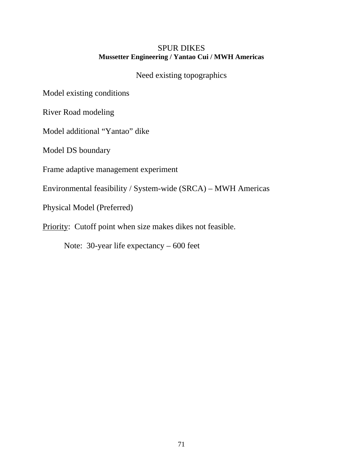## SPUR DIKES **SPUR DIKES Mussetter Engineering / Yantao Cui / MWH Americas**

## Need existing topographics

Model existing conditions

River Road modeling

Model additional "Yantao" dike

Model DS boundary and the state of the state of the state of the state of the state of the state of the state o

Frame adaptive management experiment

Environmental feasibility / System-wide (SRCA) – MWH Americas

Physical Model (Preferred)

Priority: Cutoff point when size makes dikes not feasible.

Note: 30-year life expectancy – 600 feet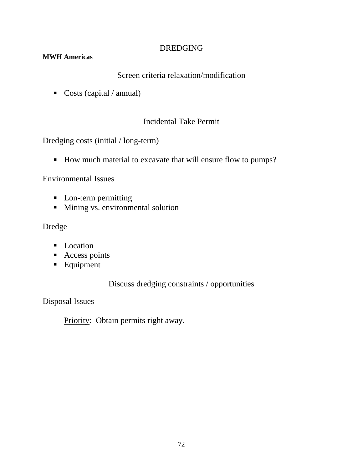## DREDGING

## **MWH Americas**

## Screen criteria relaxation/modification

■ Costs (capital / annual)

# Incidental Take Permit

Dredging costs (initial / long-term)

How much material to excavate that will ensure flow to pumps?

## Environmental Issues

- Lon-term permitting
- **Mining vs. environmental solution**

## edge and the set of the set of the set of the set of the set of the set of the set of the set of the set of the set of the set of the set of the set of the set of the set of the set of the set of the set of the set of the

- Location **Location**
- Access points and the set of the set of the set of the set of the set of the set of the set of the set of the set of the set of the set of the set of the set of the set of the set of the set of the set of the set of the se
- Equipment

Discuss dredging constraints / opportunities

Disposal Issues

Priority: Obtain permits right away.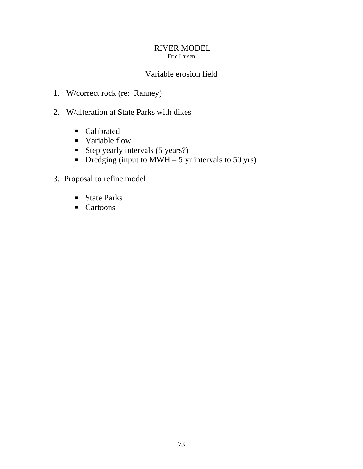## RIVER MODEL Eric Larsen

## Variable erosion field

- 1. W/correct rock (re: Ranney)
- 2. W/alteration at State Parks with dikes
	- Calibrated
	- Variable flow
	- Step yearly intervals (5 years?)
	- Dredging (input to MWH  $-5$  yr intervals to 50 yrs)
- 3. Proposal to refine model
	- State Parks **State Parks**
	- Cartoons